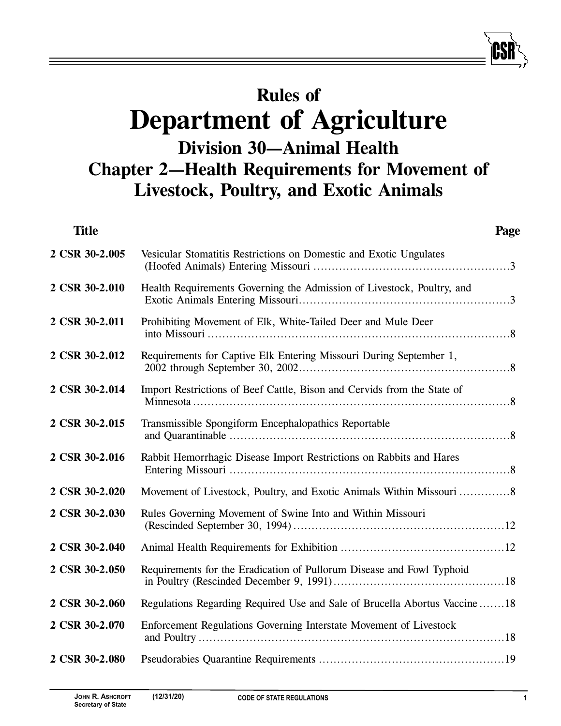# **Rules of Department of Agriculture Division 30—Animal Health Chapter 2—Health Requirements for Movement of Livestock, Poultry, and Exotic Animals**

| <b>Title</b>   | Page                                                                       |  |
|----------------|----------------------------------------------------------------------------|--|
| 2 CSR 30-2.005 | Vesicular Stomatitis Restrictions on Domestic and Exotic Ungulates         |  |
| 2 CSR 30-2.010 | Health Requirements Governing the Admission of Livestock, Poultry, and     |  |
| 2 CSR 30-2.011 | Prohibiting Movement of Elk, White-Tailed Deer and Mule Deer               |  |
| 2 CSR 30-2.012 | Requirements for Captive Elk Entering Missouri During September 1,         |  |
| 2 CSR 30-2.014 | Import Restrictions of Beef Cattle, Bison and Cervids from the State of    |  |
| 2 CSR 30-2.015 | Transmissible Spongiform Encephalopathics Reportable                       |  |
| 2 CSR 30-2.016 | Rabbit Hemorrhagic Disease Import Restrictions on Rabbits and Hares        |  |
| 2 CSR 30-2.020 |                                                                            |  |
| 2 CSR 30-2.030 | Rules Governing Movement of Swine Into and Within Missouri                 |  |
| 2 CSR 30-2.040 |                                                                            |  |
| 2 CSR 30-2.050 | Requirements for the Eradication of Pullorum Disease and Fowl Typhoid      |  |
| 2 CSR 30-2.060 | Regulations Regarding Required Use and Sale of Brucella Abortus Vaccine 18 |  |
| 2 CSR 30-2.070 | Enforcement Regulations Governing Interstate Movement of Livestock         |  |
| 2 CSR 30-2.080 |                                                                            |  |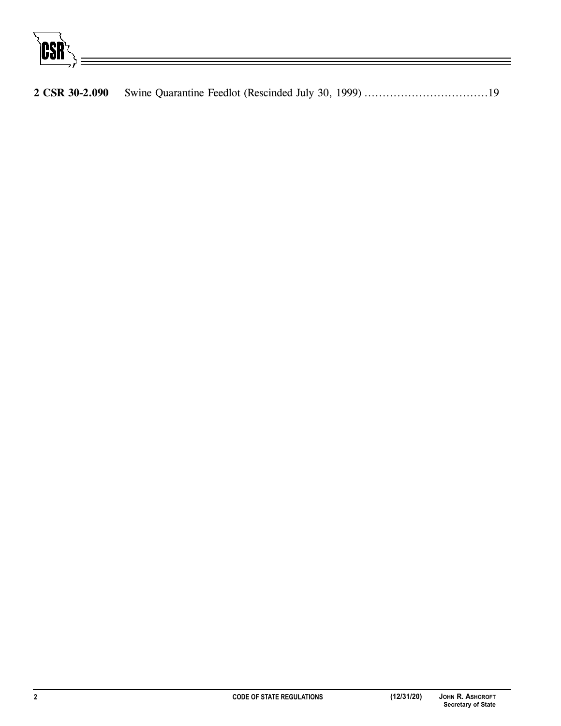CSR

**2 CSR 30-2.090** Swine Quarantine Feedlot (Rescinded July 30, 1999) ..................................19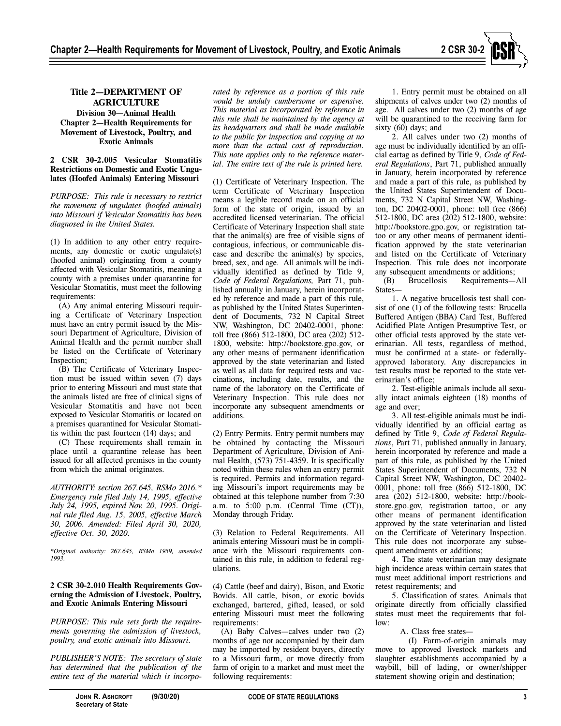

### **2 CSR 30-2.005 Vesicular Stomatitis Restrictions on Domestic and Exotic Ungulates (Hoofed Animals) Entering Missouri**

*PURPOSE: This rule is necessary to restrict the movement of ungulates (hoofed animals) into Missouri if Vesicular Stomatitis has been diagnosed in the United States.* 

(1) In addition to any other entry requirements, any domestic or exotic ungulate(s) (hoofed animal) originating from a county affected with Vesicular Stomatitis, meaning a county with a premises under quarantine for Vesicular Stomatitis, must meet the following requirements:

(A) Any animal entering Missouri requiring a Certificate of Veterinary Inspection must have an entry permit issued by the Missouri Department of Agriculture, Division of Animal Health and the permit number shall be listed on the Certificate of Veterinary Inspection;

(B) The Certificate of Veterinary Inspection must be issued within seven (7) days prior to entering Missouri and must state that the animals listed are free of clinical signs of Vesicular Stomatitis and have not been exposed to Vesicular Stomatitis or located on a premises quarantined for Vesicular Stomatitis within the past fourteen (14) days; and

(C) These requirements shall remain in place until a quarantine release has been issued for all affected premises in the county from which the animal originates.

*AUTHORITY: section 267.645, RSMo 2016.\* Emergency rule filed July 14, 1995, effective July 24, 1995, expired Nov. 20, 1995. Original rule filed Aug. 15, 2005, effective March 30, 2006. Amended: Filed April 30, 2020, effective Oct. 30, 2020.* 

*\*Original authority: 267.645, RSMo 1959, amended 1993.* 

### **2 CSR 30-2.010 Health Requirements Governing the Admission of Livestock, Poultry, and Exotic Animals Entering Missouri**

*PURPOSE: This rule sets forth the requirements governing the admission of livestock, poultry, and exotic animals into Missouri.* 

*PUBLISHER'S NOTE: The secretary of state has determined that the publication of the entire text of the material which is incorpo-*

*rated by reference as a portion of this rule would be unduly cumbersome or expensive. This material as incorporated by reference in this rule shall be maintained by the agency at its headquarters and shall be made available to the public for inspection and copying at no more than the actual cost of reproduction. This note applies only to the reference material. The entire text of the rule is printed here.* 

(1) Certificate of Veterinary Inspection. The term Certificate of Veterinary Inspection means a legible record made on an official form of the state of origin, issued by an accredited licensed veterinarian. The official Certificate of Veterinary Inspection shall state that the animal(s) are free of visible signs of contagious, infectious, or communicable disease and describe the animal(s) by species, breed, sex, and age. All animals will be individually identified as defined by Title 9, *Code of Federal Regulations,* Part 71, published annually in January, herein incorporated by reference and made a part of this rule, as published by the United States Superintendent of Documents, 732 N Capital Street NW, Washington, DC 20402-0001, phone: toll free (866) 512-1800, DC area (202) 512- 1800, website: http://bookstore.gpo.gov, or any other means of permanent identification approved by the state veterinarian and listed as well as all data for required tests and vaccinations, including date, results, and the name of the laboratory on the Certificate of Veterinary Inspection. This rule does not incorporate any subsequent amendments or additions.

(2) Entry Permits. Entry permit numbers may be obtained by contacting the Missouri Department of Agriculture, Division of Animal Health, (573) 751-4359. It is specifically noted within these rules when an entry permit is required. Permits and information regarding Missouri's import requirements may be obtained at this telephone number from 7:30 a.m. to  $5:00$  p.m. (Central Time (CT)), Monday through Friday.

(3) Relation to Federal Requirements. All animals entering Missouri must be in compliance with the Missouri requirements contained in this rule, in addition to federal regulations.

(4) Cattle (beef and dairy), Bison, and Exotic Bovids. All cattle, bison, or exotic bovids exchanged, bartered, gifted, leased, or sold entering Missouri must meet the following requirements:

(A) Baby Calves—calves under two (2) months of age not accompanied by their dam may be imported by resident buyers, directly to a Missouri farm, or move directly from farm of origin to a market and must meet the following requirements:

1. Entry permit must be obtained on all shipments of calves under two (2) months of age. All calves under two (2) months of age will be quarantined to the receiving farm for sixty (60) days; and

2. All calves under two (2) months of age must be individually identified by an official eartag as defined by Title 9, *Code of Federal Regulations*, Part 71, published annually in January, herein incorporated by reference and made a part of this rule, as published by the United States Superintendent of Documents, 732 N Capital Street NW, Washington, DC 20402-0001, phone: toll free (866) 512-1800, DC area (202) 512-1800, website: http://bookstore.gpo.gov, or registration tattoo or any other means of permanent identification approved by the state veterinarian and listed on the Certificate of Veterinary Inspection. This rule does not incorporate

any subsequent amendments or additions;<br>(B) Brucellosis Requirements— Requirements—All States—

1. A negative brucellosis test shall consist of one (1) of the following tests: Brucella Buffered Antigen (BBA) Card Test, Buffered Acidified Plate Antigen Presumptive Test, or other official tests approved by the state veterinarian. All tests, regardless of method, must be confirmed at a state- or federallyapproved laboratory. Any discrepancies in test results must be reported to the state veterinarian's office;

2. Test-eligible animals include all sexually intact animals eighteen (18) months of age and over;

3. All test-eligible animals must be individually identified by an official eartag as defined by Title 9, *Code of Federal Regulations*, Part 71, published annually in January, herein incorporated by reference and made a part of this rule, as published by the United States Superintendent of Documents, 732 N Capital Street NW, Washington, DC 20402- 0001, phone: toll free (866) 512-1800, DC area (202) 512-1800, website: http://bookstore.gpo.gov, registration tattoo, or any other means of permanent identification approved by the state veterinarian and listed on the Certificate of Veterinary Inspection. This rule does not incorporate any subsequent amendments or additions;

4. The state veterinarian may designate high incidence areas within certain states that must meet additional import restrictions and retest requirements; and

5. Classification of states. Animals that originate directly from officially classified states must meet the requirements that follow:

A. Class free states—

(I) Farm-of-origin animals may move to approved livestock markets and slaughter establishments accompanied by a waybill, bill of lading, or owner/shipper statement showing origin and destination;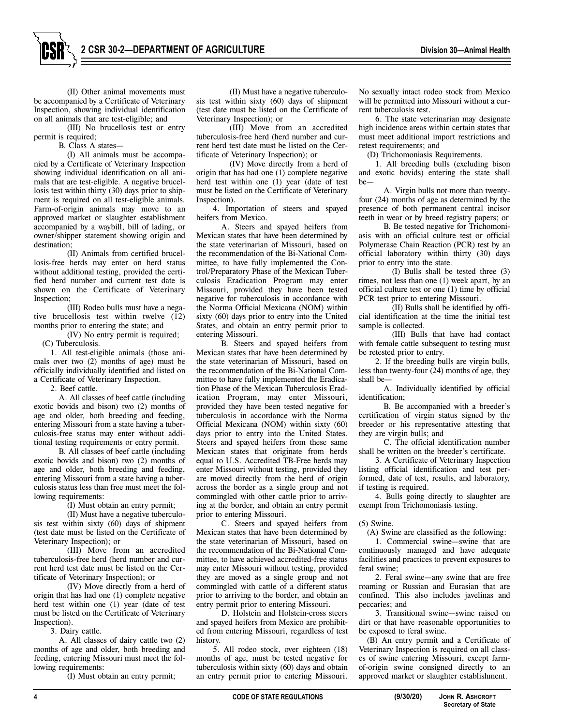

(III) No brucellosis test or entry permit is required;

B. Class A states—

(I) All animals must be accompanied by a Certificate of Veterinary Inspection showing individual identification on all animals that are test-eligible. A negative brucellosis test within thirty (30) days prior to shipment is required on all test-eligible animals. Farm-of-origin animals may move to an approved market or slaughter establishment accompanied by a waybill, bill of lading, or owner/shipper statement showing origin and destination;

(II) Animals from certified brucellosis-free herds may enter on herd status without additional testing, provided the certified herd number and current test date is shown on the Certificate of Veterinary Inspection;

(III) Rodeo bulls must have a negative brucellosis test within twelve (12) months prior to entering the state; and (IV) No entry permit is required;

(C) Tuberculosis.

1. All test-eligible animals (those animals over two (2) months of age) must be officially individually identified and listed on a Certificate of Veterinary Inspection.

2. Beef cattle.

A. All classes of beef cattle (including exotic bovids and bison) two (2) months of age and older, both breeding and feeding, entering Missouri from a state having a tuberculosis-free status may enter without additional testing requirements or entry permit.

B. All classes of beef cattle (including exotic bovids and bison) two (2) months of age and older, both breeding and feeding, entering Missouri from a state having a tuberculosis status less than free must meet the following requirements:

(I) Must obtain an entry permit;

(II) Must have a negative tuberculosis test within sixty (60) days of shipment (test date must be listed on the Certificate of Veterinary Inspection); or

(III) Move from an accredited tuberculosis-free herd (herd number and current herd test date must be listed on the Certificate of Veterinary Inspection); or

(IV) Move directly from a herd of origin that has had one (1) complete negative herd test within one (1) year (date of test must be listed on the Certificate of Veterinary Inspection).

3. Dairy cattle.

A. All classes of dairy cattle two (2) months of age and older, both breeding and feeding, entering Missouri must meet the following requirements:

(I) Must obtain an entry permit;

(II) Must have a negative tuberculosis test within sixty (60) days of shipment (test date must be listed on the Certificate of Veterinary Inspection); or

(III) Move from an accredited tuberculosis-free herd (herd number and current herd test date must be listed on the Certificate of Veterinary Inspection); or

(IV) Move directly from a herd of origin that has had one (1) complete negative herd test within one (1) year (date of test must be listed on the Certificate of Veterinary Inspection).

4. Importation of steers and spayed heifers from Mexico.

A. Steers and spayed heifers from Mexican states that have been determined by the state veterinarian of Missouri, based on the recommendation of the Bi-National Committee, to have fully implemented the Control/Preparatory Phase of the Mexican Tuberculosis Eradication Program may enter Missouri, provided they have been tested negative for tuberculosis in accordance with the Norma Official Mexicana (NOM) within sixty (60) days prior to entry into the United States, and obtain an entry permit prior to entering Missouri.

B. Steers and spayed heifers from Mexican states that have been determined by the state veterinarian of Missouri, based on the recommendation of the Bi-National Committee to have fully implemented the Eradication Phase of the Mexican Tuberculosis Eradication Program, may enter Missouri, provided they have been tested negative for tuberculosis in accordance with the Norma Official Mexicana (NOM) within sixty (60) days prior to entry into the United States. Steers and spayed heifers from these same Mexican states that originate from herds equal to U.S. Accredited TB-Free herds may enter Missouri without testing, provided they are moved directly from the herd of origin across the border as a single group and not commingled with other cattle prior to arriving at the border, and obtain an entry permit prior to entering Missouri.

C. Steers and spayed heifers from Mexican states that have been determined by the state veterinarian of Missouri, based on the recommendation of the Bi-National Committee, to have achieved accredited-free status may enter Missouri without testing, provided they are moved as a single group and not commingled with cattle of a different status prior to arriving to the border, and obtain an entry permit prior to entering Missouri.

D. Holstein and Holstein-cross steers and spayed heifers from Mexico are prohibited from entering Missouri, regardless of test history.

5. All rodeo stock, over eighteen (18) months of age, must be tested negative for tuberculosis within sixty (60) days and obtain an entry permit prior to entering Missouri.

No sexually intact rodeo stock from Mexico will be permitted into Missouri without a current tuberculosis test.

6. The state veterinarian may designate high incidence areas within certain states that must meet additional import restrictions and retest requirements; and

(D) Trichomoniasis Requirements.

1. All breeding bulls (excluding bison and exotic bovids) entering the state shall be-

A. Virgin bulls not more than twentyfour (24) months of age as determined by the presence of both permanent central incisor teeth in wear or by breed registry papers; or

B. Be tested negative for Trichomoniasis with an official culture test or official Polymerase Chain Reaction (PCR) test by an official laboratory within thirty (30) days prior to entry into the state.

(I) Bulls shall be tested three (3) times, not less than one (1) week apart, by an official culture test or one (1) time by official PCR test prior to entering Missouri.

(II) Bulls shall be identified by official identification at the time the initial test sample is collected.

(III) Bulls that have had contact with female cattle subsequent to testing must be retested prior to entry.

2. If the breeding bulls are virgin bulls, less than twenty-four (24) months of age, they shall be—

A. Individually identified by official identification;

B. Be accompanied with a breeder's certification of virgin status signed by the breeder or his representative attesting that they are virgin bulls; and

C. The official identification number shall be written on the breeder's certificate.

3. A Certificate of Veterinary Inspection listing official identification and test performed, date of test, results, and laboratory, if testing is required.

4. Bulls going directly to slaughter are exempt from Trichomoniasis testing.

(5) Swine.

(A) Swine are classified as the following:

1. Commercial swine—swine that are continuously managed and have adequate facilities and practices to prevent exposures to feral swine;

2. Feral swine—any swine that are free roaming or Russian and Eurasian that are confined. This also includes javelinas and peccaries; and

3. Transitional swine—swine raised on dirt or that have reasonable opportunities to be exposed to feral swine.

(B) An entry permit and a Certificate of Veterinary Inspection is required on all classes of swine entering Missouri, except farmof-origin swine consigned directly to an approved market or slaughter establishment.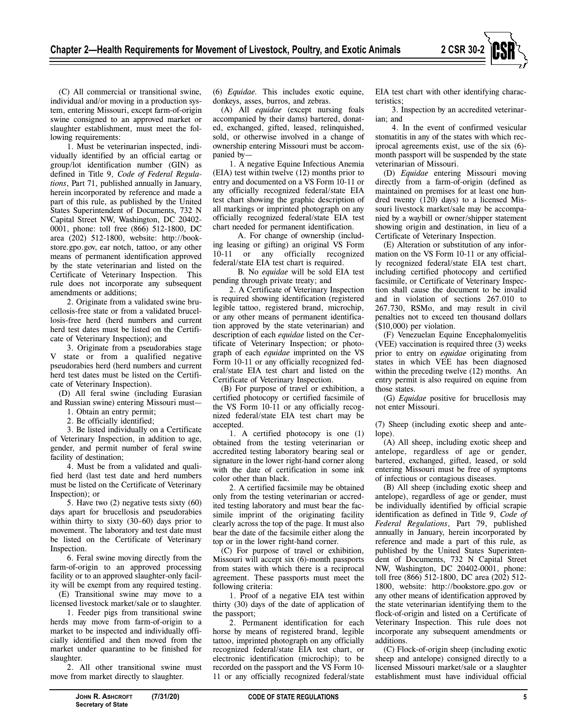

(C) All commercial or transitional swine, individual and/or moving in a production system, entering Missouri, except farm-of-origin swine consigned to an approved market or slaughter establishment, must meet the following requirements:

1. Must be veterinarian inspected, individually identified by an official eartag or group/lot identification number (GIN) as defined in Title 9, *Code of Federal Regulations*, Part 71, published annually in January, herein incorporated by reference and made a part of this rule, as published by the United States Superintendent of Documents, 732 N Capital Street NW, Washington, DC 20402- 0001, phone: toll free (866) 512-1800, DC area (202) 512-1800, website: http://bookstore.gpo.gov, ear notch, tattoo, or any other means of permanent identification approved by the state veterinarian and listed on the Certificate of Veterinary Inspection. This rule does not incorporate any subsequent amendments or additions;

2. Originate from a validated swine brucellosis-free state or from a validated brucellosis-free herd (herd numbers and current herd test dates must be listed on the Certificate of Veterinary Inspection); and

3. Originate from a pseudorabies stage V state or from a qualified negative pseudorabies herd (herd numbers and current herd test dates must be listed on the Certificate of Veterinary Inspection).

(D) All feral swine (including Eurasian and Russian swine) entering Missouri must—

1. Obtain an entry permit;

2. Be officially identified;

3. Be listed individually on a Certificate of Veterinary Inspection, in addition to age, gender, and permit number of feral swine facility of destination;

4. Must be from a validated and qualified herd (last test date and herd numbers must be listed on the Certificate of Veterinary Inspection); or

5. Have two (2) negative tests sixty (60) days apart for brucellosis and pseudorabies within thirty to sixty (30–60) days prior to movement. The laboratory and test date must be listed on the Certificate of Veterinary Inspection.

6. Feral swine moving directly from the farm-of-origin to an approved processing facility or to an approved slaughter-only facility will be exempt from any required testing.

(E) Transitional swine may move to a licensed livestock market/sale or to slaughter.

1. Feeder pigs from transitional swine herds may move from farm-of-origin to a market to be inspected and individually officially identified and then moved from the market under quarantine to be finished for slaughter.

2. All other transitional swine must move from market directly to slaughter.

(6) *Equidae.* This includes exotic equine, donkeys, asses, burros, and zebras.

(A) All *equidae* (except nursing foals accompanied by their dams) bartered, donated, exchanged, gifted, leased, relinquished, sold, or otherwise involved in a change of ownership entering Missouri must be accompanied by—

1. A negative Equine Infectious Anemia (EIA) test within twelve (12) months prior to entry and documented on a VS Form 10-11 or any officially recognized federal/state EIA test chart showing the graphic description of all markings or imprinted photograph on any officially recognized federal/state EIA test chart needed for permanent identification.

A. For change of ownership (including leasing or gifting) an original VS Form 10-11 or any officially recognized federal/state EIA test chart is required.

B. No *equidae* will be sold EIA test pending through private treaty; and

2. A Certificate of Veterinary Inspection is required showing identification (registered legible tattoo, registered brand, microchip, or any other means of permanent identification approved by the state veterinarian) and description of each *equidae* listed on the Certificate of Veterinary Inspection; or photograph of each *equidae* imprinted on the VS Form 10-11 or any officially recognized federal/state EIA test chart and listed on the Certificate of Veterinary Inspection.

(B) For purpose of travel or exhibition, a certified photocopy or certified facsimile of the VS Form 10-11 or any officially recognized federal/state EIA test chart may be accepted.

1. A certified photocopy is one (1) obtained from the testing veterinarian or accredited testing laboratory bearing seal or signature in the lower right-hand corner along with the date of certification in some ink color other than black.

2. A certified facsimile may be obtained only from the testing veterinarian or accredited testing laboratory and must bear the facsimile imprint of the originating facility clearly across the top of the page. It must also bear the date of the facsimile either along the top or in the lower right-hand corner.

(C) For purpose of travel or exhibition, Missouri will accept six (6)-month passports from states with which there is a reciprocal agreement. These passports must meet the following criteria:

1. Proof of a negative EIA test within thirty (30) days of the date of application of the passport;

2. Permanent identification for each horse by means of registered brand, legible tattoo, imprinted photograph on any officially recognized federal/state EIA test chart, or electronic identification (microchip); to be recorded on the passport and the VS Form 10- 11 or any officially recognized federal/state EIA test chart with other identifying characteristics;

3. Inspection by an accredited veterinarian; and

4. In the event of confirmed vesicular stomatitis in any of the states with which reciprocal agreements exist, use of the six (6) month passport will be suspended by the state veterinarian of Missouri.

(D) *Equidae* entering Missouri moving directly from a farm-of-origin (defined as maintained on premises for at least one hundred twenty (120) days) to a licensed Missouri livestock market/sale may be accompanied by a waybill or owner/shipper statement showing origin and destination, in lieu of a Certificate of Veterinary Inspection.

(E) Alteration or substitution of any information on the VS Form 10-11 or any officially recognized federal/state EIA test chart, including certified photocopy and certified facsimile, or Certificate of Veterinary Inspection shall cause the document to be invalid and in violation of sections 267.010 to 267.730, RSMo, and may result in civil penalties not to exceed ten thousand dollars (\$10,000) per violation.

(F) Venezuelan Equine Encephalomyelitis (VEE) vaccination is required three (3) weeks prior to entry on *equidae* originating from states in which VEE has been diagnosed within the preceding twelve (12) months. An entry permit is also required on equine from those states.

(G) *Equidae* positive for brucellosis may not enter Missouri.

(7) Sheep (including exotic sheep and antelope).

(A) All sheep, including exotic sheep and antelope, regardless of age or gender, bartered, exchanged, gifted, leased, or sold entering Missouri must be free of symptoms of infectious or contagious diseases.

(B) All sheep (including exotic sheep and antelope), regardless of age or gender, must be individually identified by official scrapie identification as defined in Title 9, *Code of Federal Regulations*, Part 79, published annually in January, herein incorporated by reference and made a part of this rule, as published by the United States Superintendent of Documents, 732 N Capital Street NW, Washington, DC 20402-0001, phone: toll free (866) 512-1800, DC area (202) 512- 1800, website: http://bookstore.gpo.gov or any other means of identification approved by the state veterinarian identifying them to the flock-of-origin and listed on a Certificate of Veterinary Inspection. This rule does not incorporate any subsequent amendments or additions.

(C) Flock-of-origin sheep (including exotic sheep and antelope) consigned directly to a licensed Missouri market/sale or a slaughter establishment must have individual official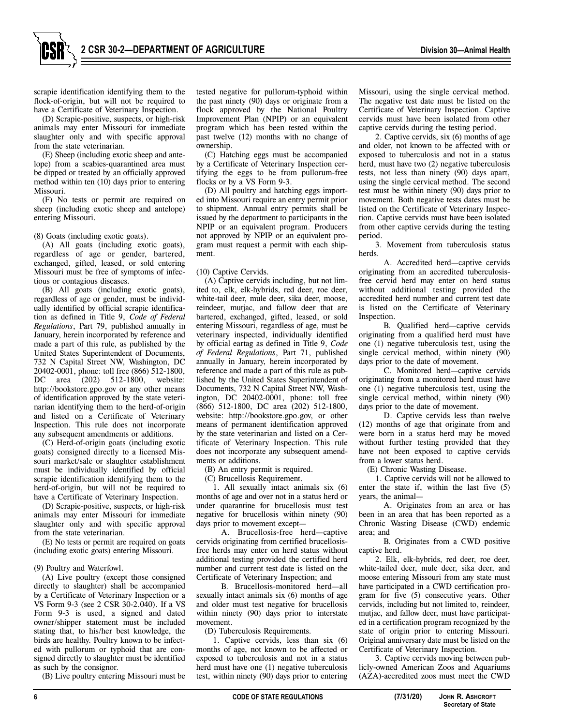scrapie identification identifying them to the flock-of-origin, but will not be required to have a Certificate of Veterinary Inspection.

(D) Scrapie-positive, suspects, or high-risk animals may enter Missouri for immediate slaughter only and with specific approval from the state veterinarian.

(E) Sheep (including exotic sheep and antelope) from a scabies-quarantined area must be dipped or treated by an officially approved method within ten (10) days prior to entering Missouri.

(F) No tests or permit are required on sheep (including exotic sheep and antelope) entering Missouri.

(8) Goats (including exotic goats).

(A) All goats (including exotic goats), regardless of age or gender, bartered, exchanged, gifted, leased, or sold entering Missouri must be free of symptoms of infectious or contagious diseases.

(B) All goats (including exotic goats), regardless of age or gender, must be individually identified by official scrapie identification as defined in Title 9, *Code of Federal Regulations*, Part 79, published annually in January, herein incorporated by reference and made a part of this rule, as published by the United States Superintendent of Documents, 732 N Capital Street NW, Washington, DC 20402-0001, phone: toll free (866) 512-1800, DC area (202) 512-1800, website: http://bookstore.gpo.gov or any other means of identification approved by the state veterinarian identifying them to the herd-of-origin and listed on a Certificate of Veterinary Inspection. This rule does not incorporate any subsequent amendments or additions.

(C) Herd-of-origin goats (including exotic goats) consigned directly to a licensed Missouri market/sale or slaughter establishment must be individually identified by official scrapie identification identifying them to the herd-of-origin, but will not be required to have a Certificate of Veterinary Inspection.

(D) Scrapie-positive, suspects, or high-risk animals may enter Missouri for immediate slaughter only and with specific approval from the state veterinarian.

(E) No tests or permit are required on goats (including exotic goats) entering Missouri.

#### (9) Poultry and Waterfowl.

(A) Live poultry (except those consigned directly to slaughter) shall be accompanied by a Certificate of Veterinary Inspection or a VS Form 9-3 (see 2 CSR 30-2.040). If a VS Form 9-3 is used, a signed and dated owner/shipper statement must be included stating that, to his/her best knowledge, the birds are healthy. Poultry known to be infected with pullorum or typhoid that are consigned directly to slaughter must be identified as such by the consignor.

(B) Live poultry entering Missouri must be

tested negative for pullorum-typhoid within the past ninety (90) days or originate from a flock approved by the National Poultry Improvement Plan (NPIP) or an equivalent program which has been tested within the past twelve (12) months with no change of ownership.

(C) Hatching eggs must be accompanied by a Certificate of Veterinary Inspection certifying the eggs to be from pullorum-free flocks or by a VS Form 9-3.

(D) All poultry and hatching eggs imported into Missouri require an entry permit prior to shipment. Annual entry permits shall be issued by the department to participants in the NPIP or an equivalent program. Producers not approved by NPIP or an equivalent program must request a permit with each shipment.

# (10) Captive Cervids.

(A) Captive cervids including, but not limited to, elk, elk-hybrids, red deer, roe deer, white-tail deer, mule deer, sika deer, moose, reindeer, mutjac, and fallow deer that are bartered, exchanged, gifted, leased, or sold entering Missouri, regardless of age, must be veterinary inspected, individually identified by official eartag as defined in Title 9, *Code of Federal Regulations*, Part 71, published annually in January, herein incorporated by reference and made a part of this rule as published by the United States Superintendent of Documents, 732 N Capital Street NW, Washington, DC 20402-0001, phone: toll free (866) 512-1800, DC area (202) 512-1800, website: http://bookstore.gpo.gov, or other means of permanent identification approved by the state veterinarian and listed on a Certificate of Veterinary Inspection. This rule does not incorporate any subsequent amendments or additions.

(B) An entry permit is required.

(C) Brucellosis Requirement.

1. All sexually intact animals six (6) months of age and over not in a status herd or under quarantine for brucellosis must test negative for brucellosis within ninety (90) days prior to movement except—

A. Brucellosis-free herd—captive cervids originating from certified brucellosisfree herds may enter on herd status without additional testing provided the certified herd number and current test date is listed on the Certificate of Veterinary Inspection; and

B. Brucellosis-monitored herd—all sexually intact animals six (6) months of age and older must test negative for brucellosis within ninety (90) days prior to interstate movement.

(D) Tuberculosis Requirements.

1. Captive cervids, less than six (6) months of age, not known to be affected or exposed to tuberculosis and not in a status herd must have one (1) negative tuberculosis test, within ninety (90) days prior to entering

Missouri, using the single cervical method. The negative test date must be listed on the Certificate of Veterinary Inspection. Captive cervids must have been isolated from other captive cervids during the testing period.

2. Captive cervids, six (6) months of age and older, not known to be affected with or exposed to tuberculosis and not in a status herd, must have two (2) negative tuberculosis tests, not less than ninety (90) days apart, using the single cervical method. The second test must be within ninety (90) days prior to movement. Both negative tests dates must be listed on the Certificate of Veterinary Inspection. Captive cervids must have been isolated from other captive cervids during the testing period.

3. Movement from tuberculosis status herds.

A. Accredited herd—captive cervids originating from an accredited tuberculosisfree cervid herd may enter on herd status without additional testing provided the accredited herd number and current test date is listed on the Certificate of Veterinary Inspection.

B. Qualified herd—captive cervids originating from a qualified herd must have one (1) negative tuberculosis test, using the single cervical method, within ninety (90) days prior to the date of movement.

C. Monitored herd—captive cervids originating from a monitored herd must have one (1) negative tuberculosis test, using the single cervical method, within ninety (90) days prior to the date of movement.

D. Captive cervids less than twelve (12) months of age that originate from and were born in a status herd may be moved without further testing provided that they have not been exposed to captive cervids from a lower status herd.

(E) Chronic Wasting Disease.

1. Captive cervids will not be allowed to enter the state if, within the last five (5) years, the animal—

A. Originates from an area or has been in an area that has been reported as a Chronic Wasting Disease (CWD) endemic area; and

B. Originates from a CWD positive captive herd.

2. Elk, elk-hybrids, red deer, roe deer, white-tailed deer, mule deer, sika deer, and moose entering Missouri from any state must have participated in a CWD certification program for five (5) consecutive years. Other cervids, including but not limited to, reindeer, mutjac, and fallow deer, must have participated in a certification program recognized by the state of origin prior to entering Missouri. Original anniversary date must be listed on the Certificate of Veterinary Inspection.

3. Captive cervids moving between publicly-owned American Zoos and Aquariums (AZA)-accredited zoos must meet the CWD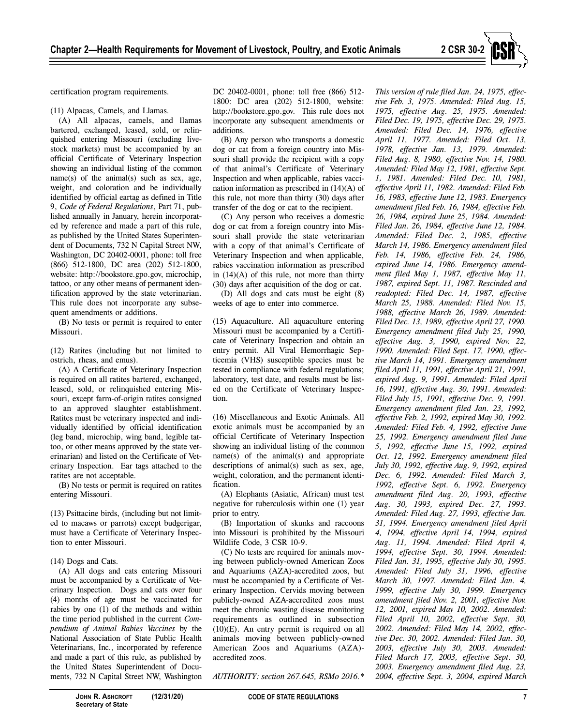

(11) Alpacas, Camels, and Llamas.

(A) All alpacas, camels, and llamas bartered, exchanged, leased, sold, or relinquished entering Missouri (excluding livestock markets) must be accompanied by an official Certificate of Veterinary Inspection showing an individual listing of the common name(s) of the animal(s) such as sex, age, weight, and coloration and be individually identified by official eartag as defined in Title 9, *Code of Federal Regulations*, Part 71, published annually in January, herein incorporated by reference and made a part of this rule, as published by the United States Superintendent of Documents, 732 N Capital Street NW, Washington, DC 20402-0001, phone: toll free (866) 512-1800, DC area (202) 512-1800, website: http://bookstore.gpo.gov, microchip, tattoo, or any other means of permanent identification approved by the state veterinarian. This rule does not incorporate any subsequent amendments or additions.

(B) No tests or permit is required to enter Missouri.

(12) Ratites (including but not limited to ostrich, rheas, and emus).

(A) A Certificate of Veterinary Inspection is required on all ratites bartered, exchanged, leased, sold, or relinquished entering Missouri, except farm-of-origin ratites consigned to an approved slaughter establishment. Ratites must be veterinary inspected and individually identified by official identification (leg band, microchip, wing band, legible tattoo, or other means approved by the state veterinarian) and listed on the Certificate of Veterinary Inspection. Ear tags attached to the ratites are not acceptable.

(B) No tests or permit is required on ratites entering Missouri.

(13) Psittacine birds, (including but not limited to macaws or parrots) except budgerigar, must have a Certificate of Veterinary Inspection to enter Missouri.

(14) Dogs and Cats.

(A) All dogs and cats entering Missouri must be accompanied by a Certificate of Veterinary Inspection. Dogs and cats over four (4) months of age must be vaccinated for rabies by one (1) of the methods and within the time period published in the current *Compendium of Animal Rabies Vaccines* by the National Association of State Public Health Veterinarians, Inc., incorporated by reference and made a part of this rule, as published by the United States Superintendent of Documents, 732 N Capital Street NW, Washington

**Secretary of State**

DC 20402-0001, phone: toll free (866) 512- 1800: DC area (202) 512-1800, website: http://bookstore.gpo.gov. This rule does not incorporate any subsequent amendments or additions.

(B) Any person who transports a domestic dog or cat from a foreign country into Missouri shall provide the recipient with a copy of that animal's Certificate of Veterinary Inspection and when applicable, rabies vaccination information as prescribed in (14)(A) of this rule, not more than thirty (30) days after transfer of the dog or cat to the recipient.

(C) Any person who receives a domestic dog or cat from a foreign country into Missouri shall provide the state veterinarian with a copy of that animal's Certificate of Veterinary Inspection and when applicable, rabies vaccination information as prescribed in  $(14)(A)$  of this rule, not more than thirty (30) days after acquisition of the dog or cat.

(D) All dogs and cats must be eight (8) weeks of age to enter into commerce.

(15) Aquaculture. All aquaculture entering Missouri must be accompanied by a Certificate of Veterinary Inspection and obtain an entry permit. All Viral Hemorrhagic Septicemia (VHS) susceptible species must be tested in compliance with federal regulations; laboratory, test date, and results must be listed on the Certificate of Veterinary Inspection.

(16) Miscellaneous and Exotic Animals. All exotic animals must be accompanied by an official Certificate of Veterinary Inspection showing an individual listing of the common name(s) of the animal(s) and appropriate descriptions of animal(s) such as sex, age, weight, coloration, and the permanent identification.

(A) Elephants (Asiatic, African) must test negative for tuberculosis within one (1) year prior to entry.

(B) Importation of skunks and raccoons into Missouri is prohibited by the Missouri Wildlife Code, 3 CSR 10-9.

(C) No tests are required for animals moving between publicly-owned American Zoos and Aquariums (AZA)-accredited zoos, but must be accompanied by a Certificate of Veterinary Inspection. Cervids moving between publicly-owned AZA-accredited zoos must meet the chronic wasting disease monitoring requirements as outlined in subsection (10)(E). An entry permit is required on all animals moving between publicly-owned American Zoos and Aquariums (AZA) accredited zoos.

*AUTHORITY: section 267.645, RSMo 2016.\** 

**JOHN R. ASHCROFT (12/31/20) CODE OF STATE REGULATIONS 7**

*This version of rule filed Jan. 24, 1975, effective Feb. 3, 1975. Amended: Filed Aug. 15, 1975, effective Aug. 25, 1975. Amended: Filed Dec. 19, 1975, effective Dec. 29, 1975. Amended: Filed Dec. 14, 1976, effective April 11, 1977. Amended: Filed Oct. 13, 1978, effective Jan. 13, 1979. Amended: Filed Aug. 8, 1980, effective Nov. 14, 1980. Amended: Filed May 12, 1981, effective Sept. 1, 1981. Amended: Filed Dec. 10, 1981, effective April 11, 1982. Amended: Filed Feb. 16, 1983, effective June 12, 1983. Emergency amendment filed Feb. 16, 1984, effective Feb. 26, 1984, expired June 25, 1984. Amended: Filed Jan. 26, 1984, effective June 12, 1984. Amended: Filed Dec. 2, 1985, effective March 14, 1986. Emergency amendment filed Feb. 14, 1986, effective Feb. 24, 1986, expired June 14, 1986. Emergency amendment filed May 1, 1987, effective May 11, 1987, expired Sept. 11, 1987. Rescinded and readopted: Filed Dec. 14, 1987, effective March 25, 1988. Amended: Filed Nov. 15, 1988, effective March 26, 1989. Amended: Filed Dec. 13, 1989, effective April 27, 1990. Emergency amendment filed July 25, 1990, effective Aug. 3, 1990, expired Nov. 22, 1990. Amended: Filed Sept. 17, 1990, effective March 14, 1991. Emergency amendment filed April 11, 1991, effective April 21, 1991, expired Aug. 9, 1991. Amended: Filed April 16, 1991, effective Aug. 30, 1991. Amended: Filed July 15, 1991, effective Dec. 9, 1991. Emergency amendment filed Jan. 23, 1992, effective Feb. 2, 1992, expired May 30, 1992. Amended: Filed Feb. 4, 1992, effective June 25, 1992. Emergency amendment filed June 5, 1992, effective June 15, 1992, expired Oct. 12, 1992. Emergency amendment filed July 30, 1992, effective Aug. 9, 1992, expired Dec. 6, 1992. Amended: Filed March 3, 1992, effective Sept. 6, 1992. Emergency amendment filed Aug. 20, 1993, effective Aug. 30, 1993, expired Dec. 27, 1993. Amended: Filed Aug. 27, 1993, effective Jan. 31, 1994. Emergency amendment filed April 4, 1994, effective April 14, 1994, expired Aug. 11, 1994. Amended: Filed April 4, 1994, effective Sept. 30, 1994. Amended: Filed Jan. 31, 1995, effective July 30, 1995. Amended: Filed July 31, 1996, effective March 30, 1997. Amended: Filed Jan. 4, 1999, effective July 30, 1999. Emergency amendment filed Nov. 2, 2001, effective Nov. 12, 2001, expired May 10, 2002. Amended: Filed April 10, 2002, effective Sept. 30, 2002. Amended: Filed May 14, 2002, effective Dec. 30, 2002. Amended: Filed Jan. 30, 2003, effective July 30, 2003. Amended: Filed March 17, 2003, effective Sept. 30, 2003. Emergency amendment filed Aug. 23, 2004, effective Sept. 3, 2004, expired March*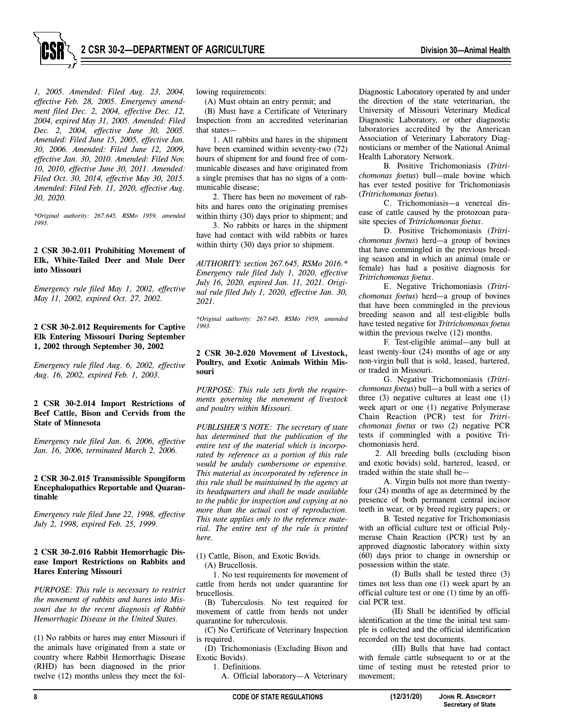

*1, 2005. Amended: Filed Aug. 23, 2004, effective Feb. 28, 2005. Emergency amendment filed Dec. 2, 2004, effective Dec. 12, 2004, expired May 31, 2005. Amended: Filed Dec. 2, 2004, effective June 30, 2005. Amended: Filed June 15, 2005, effective Jan. 30, 2006. Amended: Filed June 12, 2009, effective Jan. 30, 2010. Amended: Filed Nov. 10, 2010, effective June 30, 2011. Amended: Filed Oct. 30, 2014, effective May 30, 2015. Amended: Filed Feb. 11, 2020, effective Aug. 30, 2020.* 

*\*Original authority: 267.645, RSMo 1959, amended 1993.* 

# **2 CSR 30-2.011 Prohibiting Movement of Elk, White-Tailed Deer and Mule Deer into Missouri**

*Emergency rule filed May 1, 2002, effective May 11, 2002, expired Oct. 27, 2002.* 

# **2 CSR 30-2.012 Requirements for Captive Elk Entering Missouri During September 1, 2002 through September 30, 2002**

*Emergency rule filed Aug. 6, 2002, effective Aug. 16, 2002, expired Feb. 1, 2003.* 

# **2 CSR 30-2.014 Import Restrictions of Beef Cattle, Bison and Cervids from the State of Minnesota**

*Emergency rule filed Jan. 6, 2006, effective Jan. 16, 2006, terminated March 2, 2006.* 

#### **2 CSR 30-2.015 Transmissible Spongiform Encephalopathics Reportable and Quarantinable**

*Emergency rule filed June 22, 1998, effective July 2, 1998, expired Feb. 25, 1999.* 

### **2 CSR 30-2.016 Rabbit Hemorrhagic Disease Import Restrictions on Rabbits and Hares Entering Missouri**

*PURPOSE: This rule is necessary to restrict the movement of rabbits and hares into Missouri due to the recent diagnosis of Rabbit Hemorrhagic Disease in the United States.* 

(1) No rabbits or hares may enter Missouri if the animals have originated from a state or country where Rabbit Hemorrhagic Disease (RHD) has been diagnosed in the prior twelve (12) months unless they meet the following requirements:

(A) Must obtain an entry permit; and

(B) Must have a Certificate of Veterinary Inspection from an accredited veterinarian that states—

1. All rabbits and hares in the shipment have been examined within seventy-two (72) hours of shipment for and found free of communicable diseases and have originated from a single premises that has no signs of a communicable disease;

2. There has been no movement of rabbits and hares onto the originating premises within thirty (30) days prior to shipment; and

3. No rabbits or hares in the shipment have had contact with wild rabbits or hares within thirty (30) days prior to shipment.

*AUTHORITY: section 267.645, RSMo 2016.\* Emergency rule filed July 1, 2020, effective July 16, 2020, expired Jan. 11, 2021. Original rule filed July 1, 2020, effective Jan. 30, 2021.* 

*\*Original authority: 267.645, RSMo 1959, amended 1993.* 

# **2 CSR 30-2.020 Movement of Livestock, Poultry, and Exotic Animals Within Missouri**

*PURPOSE: This rule sets forth the requirements governing the movement of livestock and poultry within Missouri.* 

*PUBLISHER'S NOTE: The secretary of state has determined that the publication of the entire text of the material which is incorporated by reference as a portion of this rule would be unduly cumbersome or expensive. This material as incorporated by reference in this rule shall be maintained by the agency at its headquarters and shall be made available to the public for inspection and copying at no more than the actual cost of reproduction. This note applies only to the reference material. The entire text of the rule is printed here.* 

(1) Cattle, Bison, and Exotic Bovids. (A) Brucellosis.

1. No test requirements for movement of cattle from herds not under quarantine for brucellosis.

(B) Tuberculosis. No test required for movement of cattle from herds not under quarantine for tuberculosis.

(C) No Certificate of Veterinary Inspection is required.

(D) Trichomoniasis (Excluding Bison and Exotic Bovids).

1. Definitions.

A. Official laboratory—A Veterinary

Diagnostic Laboratory operated by and under the direction of the state veterinarian, the University of Missouri Veterinary Medical Diagnostic Laboratory, or other diagnostic laboratories accredited by the American Association of Veterinary Laboratory Diagnosticians or member of the National Animal Health Laboratory Network.

B. Positive Trichomoniasis (*Tritrichomonas foetus*) bull—male bovine which has ever tested positive for Trichomoniasis (*Tritrichomonas foetus*).

C. Trichomoniasis—a venereal disease of cattle caused by the protozoan parasite species of *Tritrichomonas foetus*.

D. Positive Trichomoniasis (*Tritrichomonas foetus*) herd—a group of bovines that have commingled in the previous breeding season and in which an animal (male or female) has had a positive diagnosis for *Tritrichomonas foetus*.

E. Negative Trichomoniasis (*Tritrichomonas foetus*) herd—a group of bovines that have been commingled in the previous breeding season and all test-eligible bulls have tested negative for *Tritrichomonas foetus* within the previous twelve (12) months.

F. Test-eligible animal—any bull at least twenty-four (24) months of age or any non-virgin bull that is sold, leased, bartered, or traded in Missouri.

G. Negative Trichomoniasis (*Tritrichomonas foetus*) bull—a bull with a series of three (3) negative cultures at least one (1) week apart or one (1) negative Polymerase Chain Reaction (PCR) test for *Tritrichomonas foetus* or two (2) negative PCR tests if commingled with a positive Trichomoniasis herd.

2. All breeding bulls (excluding bison and exotic bovids) sold, bartered, leased, or traded within the state shall be—

A. Virgin bulls not more than twentyfour (24) months of age as determined by the presence of both permanent central incisor teeth in wear, or by breed registry papers; or

B. Tested negative for Trichomoniasis with an official culture test or official Polymerase Chain Reaction (PCR) test by an approved diagnostic laboratory within sixty (60) days prior to change in ownership or possession within the state.

(I) Bulls shall be tested three (3) times not less than one (1) week apart by an official culture test or one (1) time by an official PCR test.

(II) Shall be identified by official identification at the time the initial test sample is collected and the official identification recorded on the test documents.

(III) Bulls that have had contact with female cattle subsequent to or at the time of testing must be retested prior to movement;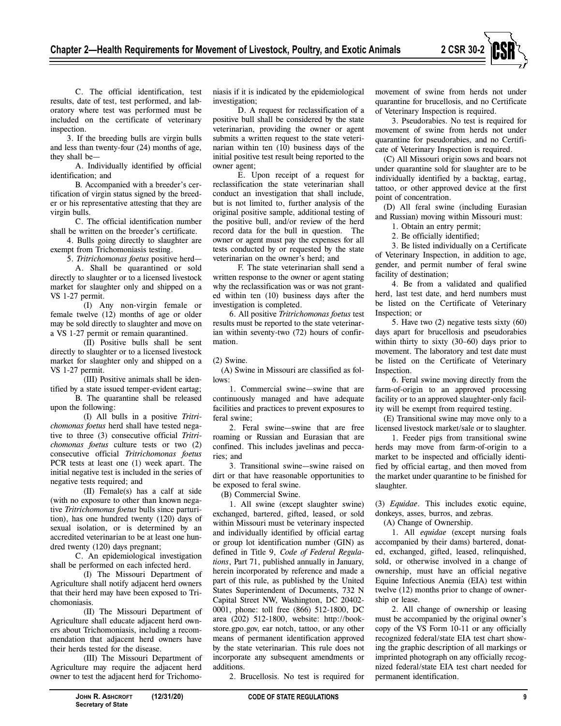

C. The official identification, test results, date of test, test performed, and laboratory where test was performed must be included on the certificate of veterinary inspection.

3. If the breeding bulls are virgin bulls and less than twenty-four (24) months of age, they shall be—

A. Individually identified by official identification; and

B. Accompanied with a breeder's certification of virgin status signed by the breeder or his representative attesting that they are virgin bulls.

C. The official identification number shall be written on the breeder's certificate.

4. Bulls going directly to slaughter are exempt from Trichomoniasis testing.

5. *Tritrichomonas foetus* positive herd—

A. Shall be quarantined or sold directly to slaughter or to a licensed livestock market for slaughter only and shipped on a VS 1-27 permit.

(I) Any non-virgin female or female twelve (12) months of age or older may be sold directly to slaughter and move on a VS 1-27 permit or remain quarantined.

(II) Positive bulls shall be sent directly to slaughter or to a licensed livestock market for slaughter only and shipped on a VS 1-27 permit.

(III) Positive animals shall be identified by a state issued temper-evident eartag;

B. The quarantine shall be released upon the following:

(I) All bulls in a positive *Tritrichomonas foetus* herd shall have tested negative to three (3) consecutive official *Tritrichomonas foetus* culture tests or two (2) consecutive official *Tritrichomonas foetus*  PCR tests at least one (1) week apart. The initial negative test is included in the series of negative tests required; and

(II) Female(s) has a calf at side (with no exposure to other than known negative *Tritrichomonas foetus* bulls since parturition), has one hundred twenty (120) days of sexual isolation, or is determined by an accredited veterinarian to be at least one hundred twenty (120) days pregnant;

C. An epidemiological investigation shall be performed on each infected herd.

(I) The Missouri Department of Agriculture shall notify adjacent herd owners that their herd may have been exposed to Trichomoniasis.

(II) The Missouri Department of Agriculture shall educate adjacent herd owners about Trichomoniasis, including a recommendation that adjacent herd owners have their herds tested for the disease.

(III) The Missouri Department of Agriculture may require the adjacent herd owner to test the adjacent herd for Trichomoniasis if it is indicated by the epidemiological investigation;

D. A request for reclassification of a positive bull shall be considered by the state veterinarian, providing the owner or agent submits a written request to the state veterinarian within ten (10) business days of the initial positive test result being reported to the owner agent;

E. Upon receipt of a request for reclassification the state veterinarian shall conduct an investigation that shall include, but is not limited to, further analysis of the original positive sample, additional testing of the positive bull, and/or review of the herd record data for the bull in question. The owner or agent must pay the expenses for all tests conducted by or requested by the state veterinarian on the owner's herd; and

F. The state veterinarian shall send a written response to the owner or agent stating why the reclassification was or was not granted within ten (10) business days after the investigation is completed.

6. All positive *Tritrichomonas foetus* test results must be reported to the state veterinarian within seventy-two (72) hours of confirmation.

(2) Swine.

(A) Swine in Missouri are classified as follows:

1. Commercial swine—swine that are continuously managed and have adequate facilities and practices to prevent exposures to feral swine;

2. Feral swine—swine that are free roaming or Russian and Eurasian that are confined. This includes javelinas and peccaries; and

3. Transitional swine—swine raised on dirt or that have reasonable opportunities to be exposed to feral swine.

(B) Commercial Swine.

1. All swine (except slaughter swine) exchanged, bartered, gifted, leased, or sold within Missouri must be veterinary inspected and individually identified by official eartag or group lot identification number (GIN) as defined in Title 9, *Code of Federal Regulations*, Part 71, published annually in January, herein incorporated by reference and made a part of this rule, as published by the United States Superintendent of Documents, 732 N Capital Street NW, Washington, DC 20402- 0001, phone: toll free (866) 512-1800, DC area (202) 512-1800, website: http://bookstore.gpo.gov, ear notch, tattoo, or any other means of permanent identification approved by the state veterinarian. This rule does not incorporate any subsequent amendments or additions.

2. Brucellosis. No test is required for

movement of swine from herds not under quarantine for brucellosis, and no Certificate of Veterinary Inspection is required.

3. Pseudorabies. No test is required for movement of swine from herds not under quarantine for pseudorabies, and no Certificate of Veterinary Inspection is required.

(C) All Missouri origin sows and boars not under quarantine sold for slaughter are to be individually identified by a backtag, eartag, tattoo, or other approved device at the first point of concentration.

(D) All feral swine (including Eurasian and Russian) moving within Missouri must:

1. Obtain an entry permit;

2. Be officially identified;

3. Be listed individually on a Certificate of Veterinary Inspection, in addition to age, gender, and permit number of feral swine facility of destination;

4. Be from a validated and qualified herd, last test date, and herd numbers must be listed on the Certificate of Veterinary Inspection; or

5. Have two (2) negative tests sixty (60) days apart for brucellosis and pseudorabies within thirty to sixty (30–60) days prior to movement. The laboratory and test date must be listed on the Certificate of Veterinary Inspection.

6. Feral swine moving directly from the farm-of-origin to an approved processing facility or to an approved slaughter-only facility will be exempt from required testing.

(E) Transitional swine may move only to a licensed livestock market/sale or to slaughter.

1. Feeder pigs from transitional swine herds may move from farm-of-origin to a market to be inspected and officially identified by official eartag, and then moved from the market under quarantine to be finished for slaughter.

(3) *Equidae*. This includes exotic equine, donkeys, asses, burros, and zebras.

(A) Change of Ownership.

1. All *equidae* (except nursing foals accompanied by their dams) bartered, donated, exchanged, gifted, leased, relinquished, sold, or otherwise involved in a change of ownership, must have an official negative Equine Infectious Anemia (EIA) test within twelve (12) months prior to change of ownership or lease.

2. All change of ownership or leasing must be accompanied by the original owner's copy of the VS Form 10-11 or any officially recognized federal/state EIA test chart showing the graphic description of all markings or imprinted photograph on any officially recognized federal/state EIA test chart needed for permanent identification.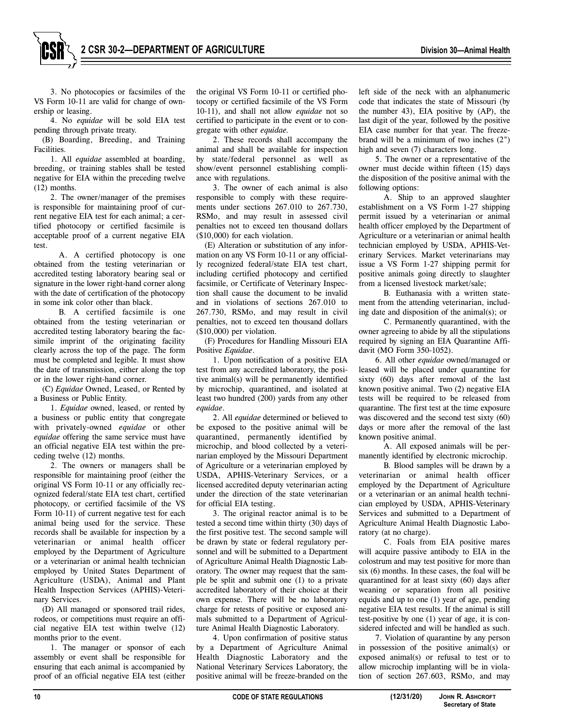3. No photocopies or facsimiles of the VS Form 10-11 are valid for change of ownership or leasing.

4. No *equidae* will be sold EIA test pending through private treaty.

(B) Boarding, Breeding, and Training **Facilities** 

1. All *equidae* assembled at boarding, breeding, or training stables shall be tested negative for EIA within the preceding twelve (12) months.

2. The owner/manager of the premises is responsible for maintaining proof of current negative EIA test for each animal; a certified photocopy or certified facsimile is acceptable proof of a current negative EIA test.

A. A certified photocopy is one obtained from the testing veterinarian or accredited testing laboratory bearing seal or signature in the lower right-hand corner along with the date of certification of the photocopy in some ink color other than black.

B. A certified facsimile is one obtained from the testing veterinarian or accredited testing laboratory bearing the facsimile imprint of the originating facility clearly across the top of the page. The form must be completed and legible. It must show the date of transmission, either along the top or in the lower right-hand corner.

(C) *Equidae* Owned, Leased, or Rented by a Business or Public Entity.

1. *Equidae* owned, leased, or rented by a business or public entity that congregate with privately-owned *equidae* or other *equidae* offering the same service must have an official negative EIA test within the preceding twelve (12) months.

2. The owners or managers shall be responsible for maintaining proof (either the original VS Form 10-11 or any officially recognized federal/state EIA test chart, certified photocopy, or certified facsimile of the VS Form 10-11) of current negative test for each animal being used for the service. These records shall be available for inspection by a veterinarian or animal health officer employed by the Department of Agriculture or a veterinarian or animal health technician employed by United States Department of Agriculture (USDA), Animal and Plant Health Inspection Services (APHIS)-Veterinary Services.

(D) All managed or sponsored trail rides, rodeos, or competitions must require an official negative EIA test within twelve (12) months prior to the event.

1. The manager or sponsor of each assembly or event shall be responsible for ensuring that each animal is accompanied by proof of an official negative EIA test (either

the original VS Form 10-11 or certified photocopy or certified facsimile of the VS Form 10-11), and shall not allow *equidae* not so certified to participate in the event or to congregate with other *equidae.* 

2. These records shall accompany the animal and shall be available for inspection by state/federal personnel as well as show/event personnel establishing compliance with regulations.

3. The owner of each animal is also responsible to comply with these requirements under sections 267.010 to 267.730, RSMo, and may result in assessed civil penalties not to exceed ten thousand dollars (\$10,000) for each violation.

(E) Alteration or substitution of any information on any VS Form 10-11 or any officially recognized federal/state EIA test chart, including certified photocopy and certified facsimile, or Certificate of Veterinary Inspection shall cause the document to be invalid and in violations of sections 267.010 to 267.730, RSMo, and may result in civil penalties, not to exceed ten thousand dollars (\$10,000) per violation.

(F) Procedures for Handling Missouri EIA Positive *Equidae*.

1. Upon notification of a positive EIA test from any accredited laboratory, the positive animal(s) will be permanently identified by microchip, quarantined, and isolated at least two hundred (200) yards from any other *equidae*.

2. All *equidae* determined or believed to be exposed to the positive animal will be quarantined, permanently identified by microchip, and blood collected by a veterinarian employed by the Missouri Department of Agriculture or a veterinarian employed by USDA, APHIS-Veterinary Services, or a licensed accredited deputy veterinarian acting under the direction of the state veterinarian for official EIA testing.

3. The original reactor animal is to be tested a second time within thirty (30) days of the first positive test. The second sample will be drawn by state or federal regulatory personnel and will be submitted to a Department of Agriculture Animal Health Diagnostic Laboratory. The owner may request that the sample be split and submit one (1) to a private accredited laboratory of their choice at their own expense. There will be no laboratory charge for retests of positive or exposed animals submitted to a Department of Agriculture Animal Health Diagnostic Laboratory.

4. Upon confirmation of positive status by a Department of Agriculture Animal Health Diagnostic Laboratory and the National Veterinary Services Laboratory, the positive animal will be freeze-branded on the

left side of the neck with an alphanumeric code that indicates the state of Missouri (by the number 43), EIA positive by (AP), the last digit of the year, followed by the positive EIA case number for that year. The freezebrand will be a minimum of two inches (2") high and seven (7) characters long.

5. The owner or a representative of the owner must decide within fifteen (15) days the disposition of the positive animal with the following options:

A. Ship to an approved slaughter establishment on a VS Form 1-27 shipping permit issued by a veterinarian or animal health officer employed by the Department of Agriculture or a veterinarian or animal health technician employed by USDA, APHIS-Veterinary Services. Market veterinarians may issue a VS Form 1-27 shipping permit for positive animals going directly to slaughter from a licensed livestock market/sale;

B. Euthanasia with a written statement from the attending veterinarian, including date and disposition of the animal(s); or

C. Permanently quarantined, with the owner agreeing to abide by all the stipulations required by signing an EIA Quarantine Affidavit (MO Form 350-1052).

6. All other *equidae* owned/managed or leased will be placed under quarantine for sixty (60) days after removal of the last known positive animal. Two (2) negative EIA tests will be required to be released from quarantine. The first test at the time exposure was discovered and the second test sixty (60) days or more after the removal of the last known positive animal.

A. All exposed animals will be permanently identified by electronic microchip.

B. Blood samples will be drawn by a veterinarian or animal health officer employed by the Department of Agriculture or a veterinarian or an animal health technician employed by USDA, APHIS-Veterinary Services and submitted to a Department of Agriculture Animal Health Diagnostic Laboratory (at no charge).

C. Foals from EIA positive mares will acquire passive antibody to EIA in the colostrum and may test positive for more than six (6) months. In these cases, the foal will be quarantined for at least sixty (60) days after weaning or separation from all positive equids and up to one (1) year of age, pending negative EIA test results. If the animal is still test-positive by one (1) year of age, it is considered infected and will be handled as such.

7. Violation of quarantine by any person in possession of the positive animal(s) or exposed animal(s) or refusal to test or to allow microchip implanting will be in violation of section 267.603, RSMo, and may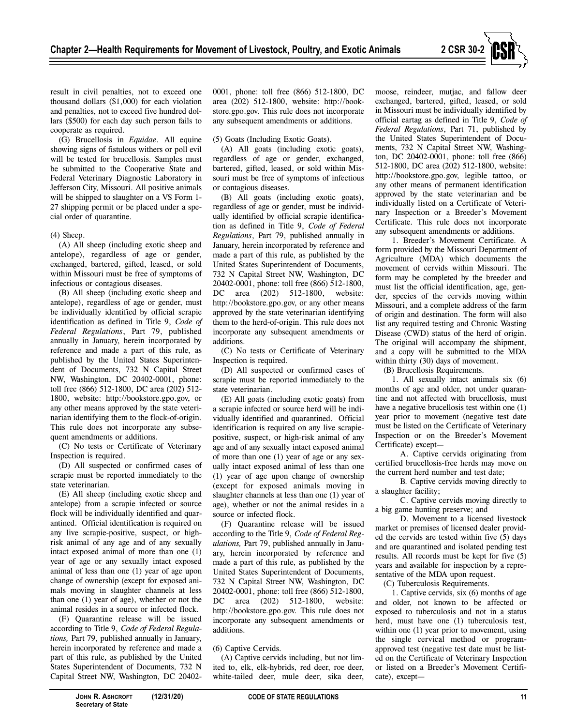

(G) Brucellosis in *Equidae*. All equine showing signs of fistulous withers or poll evil will be tested for brucellosis. Samples must be submitted to the Cooperative State and Federal Veterinary Diagnostic Laboratory in Jefferson City, Missouri. All positive animals will be shipped to slaughter on a VS Form 1-27 shipping permit or be placed under a special order of quarantine.

# (4) Sheep.

(A) All sheep (including exotic sheep and antelope), regardless of age or gender, exchanged, bartered, gifted, leased, or sold within Missouri must be free of symptoms of infectious or contagious diseases.

(B) All sheep (including exotic sheep and antelope), regardless of age or gender, must be individually identified by official scrapie identification as defined in Title 9, *Code of Federal Regulations*, Part 79, published annually in January, herein incorporated by reference and made a part of this rule, as published by the United States Superintendent of Documents, 732 N Capital Street NW, Washington, DC 20402-0001, phone: toll free (866) 512-1800, DC area (202) 512- 1800, website: http://bookstore.gpo.gov, or any other means approved by the state veterinarian identifying them to the flock-of-origin. This rule does not incorporate any subsequent amendments or additions.

(C) No tests or Certificate of Veterinary Inspection is required.

(D) All suspected or confirmed cases of scrapie must be reported immediately to the state veterinarian.

(E) All sheep (including exotic sheep and antelope) from a scrapie infected or source flock will be individually identified and quarantined. Official identification is required on any live scrapie-positive, suspect, or highrisk animal of any age and of any sexually intact exposed animal of more than one (1) year of age or any sexually intact exposed animal of less than one (1) year of age upon change of ownership (except for exposed animals moving in slaughter channels at less than one (1) year of age), whether or not the animal resides in a source or infected flock.

(F) Quarantine release will be issued according to Title 9, *Code of Federal Regulations,* Part 79, published annually in January, herein incorporated by reference and made a part of this rule, as published by the United States Superintendent of Documents, 732 N Capital Street NW, Washington, DC 204020001, phone: toll free (866) 512-1800, DC area (202) 512-1800, website: http://bookstore.gpo.gov. This rule does not incorporate any subsequent amendments or additions.

(5) Goats (Including Exotic Goats).

(A) All goats (including exotic goats), regardless of age or gender, exchanged, bartered, gifted, leased, or sold within Missouri must be free of symptoms of infectious or contagious diseases.

(B) All goats (including exotic goats), regardless of age or gender, must be individually identified by official scrapie identification as defined in Title 9, *Code of Federal Regulations*, Part 79, published annually in January, herein incorporated by reference and made a part of this rule, as published by the United States Superintendent of Documents, 732 N Capital Street NW, Washington, DC 20402-0001, phone: toll free (866) 512-1800, DC area (202) 512-1800, website: http://bookstore.gpo.gov, or any other means approved by the state veterinarian identifying them to the herd-of-origin. This rule does not incorporate any subsequent amendments or additions.

(C) No tests or Certificate of Veterinary Inspection is required.

(D) All suspected or confirmed cases of scrapie must be reported immediately to the state veterinarian.

(E) All goats (including exotic goats) from a scrapie infected or source herd will be individually identified and quarantined. Official identification is required on any live scrapiepositive, suspect, or high-risk animal of any age and of any sexually intact exposed animal of more than one (1) year of age or any sexually intact exposed animal of less than one (1) year of age upon change of ownership (except for exposed animals moving in slaughter channels at less than one (1) year of age), whether or not the animal resides in a source or infected flock.

(F) Quarantine release will be issued according to the Title 9, *Code of Federal Regulations,* Part 79, published annually in January, herein incorporated by reference and made a part of this rule, as published by the United States Superintendent of Documents, 732 N Capital Street NW, Washington, DC 20402-0001, phone: toll free (866) 512-1800, DC area (202) 512-1800, website: http://bookstore.gpo.gov. This rule does not incorporate any subsequent amendments or additions.

# (6) Captive Cervids.

(A) Captive cervids including, but not limited to, elk, elk-hybrids, red deer, roe deer, white-tailed deer, mule deer, sika deer,

moose, reindeer, mutjac, and fallow deer exchanged, bartered, gifted, leased, or sold in Missouri must be individually identified by official eartag as defined in Title 9, *Code of Federal Regulations*, Part 71, published by the United States Superintendent of Documents, 732 N Capital Street NW, Washington, DC 20402-0001, phone: toll free (866) 512-1800, DC area (202) 512-1800, website: http://bookstore.gpo.gov, legible tattoo, or any other means of permanent identification approved by the state veterinarian and be individually listed on a Certificate of Veterinary Inspection or a Breeder's Movement Certificate. This rule does not incorporate any subsequent amendments or additions.

1. Breeder's Movement Certificate. A form provided by the Missouri Department of Agriculture (MDA) which documents the movement of cervids within Missouri. The form may be completed by the breeder and must list the official identification, age, gender, species of the cervids moving within Missouri, and a complete address of the farm of origin and destination. The form will also list any required testing and Chronic Wasting Disease (CWD) status of the herd of origin. The original will accompany the shipment, and a copy will be submitted to the MDA within thirty (30) days of movement.

(B) Brucellosis Requirements.

1. All sexually intact animals six (6) months of age and older, not under quarantine and not affected with brucellosis, must have a negative brucellosis test within one (1) year prior to movement (negative test date must be listed on the Certificate of Veterinary Inspection or on the Breeder's Movement Certificate) except—

A. Captive cervids originating from certified brucellosis-free herds may move on the current herd number and test date;

B. Captive cervids moving directly to a slaughter facility;

C. Captive cervids moving directly to a big game hunting preserve; and

D. Movement to a licensed livestock market or premises of licensed dealer provided the cervids are tested within five (5) days and are quarantined and isolated pending test results. All records must be kept for five (5) years and available for inspection by a representative of the MDA upon request.

(C) Tuberculosis Requirements.

1. Captive cervids, six (6) months of age and older, not known to be affected or exposed to tuberculosis and not in a status herd, must have one (1) tuberculosis test, within one (1) year prior to movement, using the single cervical method or programapproved test (negative test date must be listed on the Certificate of Veterinary Inspection or listed on a Breeder's Movement Certificate), except—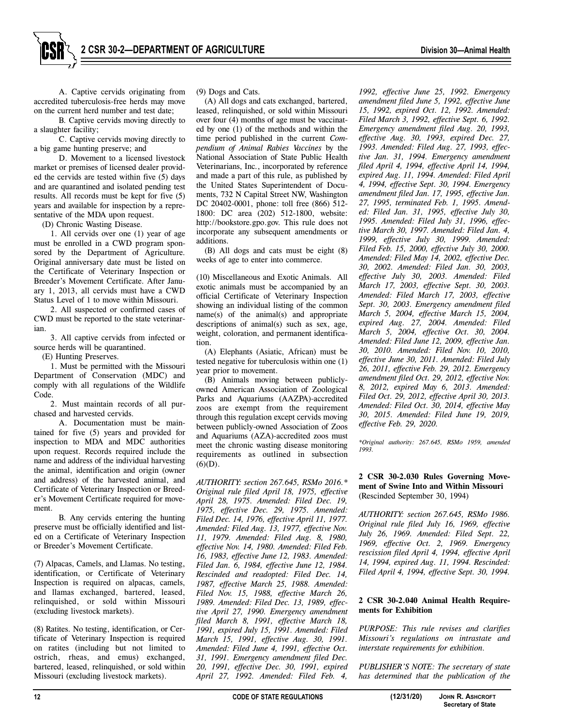A. Captive cervids originating from accredited tuberculosis-free herds may move on the current herd number and test date;

B. Captive cervids moving directly to a slaughter facility;

C. Captive cervids moving directly to a big game hunting preserve; and

D. Movement to a licensed livestock market or premises of licensed dealer provided the cervids are tested within five (5) days and are quarantined and isolated pending test results. All records must be kept for five (5) years and available for inspection by a representative of the MDA upon request.

(D) Chronic Wasting Disease.

1. All cervids over one (1) year of age must be enrolled in a CWD program sponsored by the Department of Agriculture. Original anniversary date must be listed on the Certificate of Veterinary Inspection or Breeder's Movement Certificate. After January 1, 2013, all cervids must have a CWD Status Level of 1 to move within Missouri.

2. All suspected or confirmed cases of CWD must be reported to the state veterinarian.

3. All captive cervids from infected or source herds will be quarantined.

(E) Hunting Preserves.

1. Must be permitted with the Missouri Department of Conservation (MDC) and comply with all regulations of the Wildlife Code.

2. Must maintain records of all purchased and harvested cervids.

A. Documentation must be maintained for five (5) years and provided for inspection to MDA and MDC authorities upon request. Records required include the name and address of the individual harvesting the animal, identification and origin (owner and address) of the harvested animal, and Certificate of Veterinary Inspection or Breeder's Movement Certificate required for movement.

B. Any cervids entering the hunting preserve must be officially identified and listed on a Certificate of Veterinary Inspection or Breeder's Movement Certificate.

(7) Alpacas, Camels, and Llamas. No testing, identification, or Certificate of Veterinary Inspection is required on alpacas, camels, and llamas exchanged, bartered, leased, relinquished, or sold within Missouri (excluding livestock markets).

(8) Ratites. No testing, identification, or Certificate of Veterinary Inspection is required on ratites (including but not limited to ostrich, rheas, and emus) exchanged, bartered, leased, relinquished, or sold within Missouri (excluding livestock markets).

(9) Dogs and Cats.

(A) All dogs and cats exchanged, bartered, leased, relinquished, or sold within Missouri over four (4) months of age must be vaccinated by one (1) of the methods and within the time period published in the current *Compendium of Animal Rabies Vaccines* by the National Association of State Public Health Veterinarians, Inc., incorporated by reference and made a part of this rule, as published by the United States Superintendent of Documents, 732 N Capital Street NW, Washington DC 20402-0001, phone: toll free (866) 512- 1800: DC area (202) 512-1800, website: http://bookstore.gpo.gov. This rule does not incorporate any subsequent amendments or additions.

(B) All dogs and cats must be eight (8) weeks of age to enter into commerce.

(10) Miscellaneous and Exotic Animals. All exotic animals must be accompanied by an official Certificate of Veterinary Inspection showing an individual listing of the common name(s) of the animal(s) and appropriate descriptions of animal(s) such as sex, age, weight, coloration, and permanent identification.

(A) Elephants (Asiatic, African) must be tested negative for tuberculosis within one (1) year prior to movement.

(B) Animals moving between publiclyowned American Association of Zoological Parks and Aquariums (AAZPA)-accredited zoos are exempt from the requirement through this regulation except cervids moving between publicly-owned Association of Zoos and Aquariums (AZA)-accredited zoos must meet the chronic wasting disease monitoring requirements as outlined in subsection  $(6)(D)$ .

*AUTHORITY: section 267.645, RSMo 2016.\* Original rule filed April 18, 1975, effective April 28, 1975. Amended: Filed Dec. 19, 1975, effective Dec. 29, 1975. Amended: Filed Dec. 14, 1976, effective April 11, 1977. Amended: Filed Aug. 13, 1977, effective Nov. 11, 1979. Amended: Filed Aug. 8, 1980, effective Nov. 14, 1980. Amended: Filed Feb. 16, 1983, effective June 12, 1983. Amended: Filed Jan. 6, 1984, effective June 12, 1984. Rescinded and readopted: Filed Dec. 14, 1987, effective March 25, 1988. Amended: Filed Nov. 15, 1988, effective March 26, 1989. Amended: Filed Dec. 13, 1989, effective April 27, 1990. Emergency amendment filed March 8, 1991, effective March 18, 1991, expired July 15, 1991. Amended: Filed March 15, 1991, effective Aug. 30, 1991. Amended: Filed June 4, 1991, effective Oct. 31, 1991. Emergency amendment filed Dec. 20, 1991, effective Dec. 30, 1991, expired April 27, 1992. Amended: Filed Feb. 4,* 

*1992, effective June 25, 1992. Emergency amendment filed June 5, 1992, effective June 15, 1992, expired Oct. 12, 1992. Amended: Filed March 3, 1992, effective Sept. 6, 1992. Emergency amendment filed Aug. 20, 1993, effective Aug. 30, 1993, expired Dec. 27, 1993. Amended: Filed Aug. 27, 1993, effective Jan. 31, 1994. Emergency amendment filed April 4, 1994, effective April 14, 1994, expired Aug. 11, 1994. Amended: Filed April 4, 1994, effective Sept. 30, 1994. Emergency amendment filed Jan. 17, 1995, effective Jan. 27, 1995, terminated Feb. 1, 1995. Amended: Filed Jan. 31, 1995, effective July 30, 1995. Amended: Filed July 31, 1996, effective March 30, 1997. Amended: Filed Jan. 4, 1999, effective July 30, 1999. Amended: Filed Feb. 15, 2000, effective July 30, 2000. Amended: Filed May 14, 2002, effective Dec. 30, 2002. Amended: Filed Jan. 30, 2003, effective July 30, 2003. Amended: Filed March 17, 2003, effective Sept. 30, 2003. Amended: Filed March 17, 2003, effective Sept. 30, 2003. Emergency amendment filed March 5, 2004, effective March 15, 2004, expired Aug. 27, 2004. Amended: Filed March 5, 2004, effective Oct. 30, 2004. Amended: Filed June 12, 2009, effective Jan. 30, 2010. Amended: Filed Nov. 10, 2010, effective June 30, 2011. Amended: Filed July 26, 2011, effective Feb. 29, 2012. Emergency amendment filed Oct. 29, 2012, effective Nov. 8, 2012, expired May 6, 2013. Amended: Filed Oct. 29, 2012, effective April 30, 2013. Amended: Filed Oct. 30, 2014, effective May 30, 2015. Amended: Filed June 19, 2019, effective Feb. 29, 2020.* 

*\*Original authority: 267.645, RSMo 1959, amended 1993.* 

**2 CSR 30-2.030 Rules Governing Movement of Swine Into and Within Missouri**  (Rescinded September 30, 1994)

*AUTHORITY: section 267.645, RSMo 1986. Original rule filed July 16, 1969, effective July 26, 1969. Amended: Filed Sept. 22, 1969, effective Oct. 2, 1969. Emergency rescission filed April 4, 1994, effective April 14, 1994, expired Aug. 11, 1994. Rescinded: Filed April 4, 1994, effective Sept. 30, 1994.* 

# **2 CSR 30-2.040 Animal Health Requirements for Exhibition**

*PURPOSE: This rule revises and clarifies Missouri's regulations on intrastate and interstate requirements for exhibition.* 

*PUBLISHER'S NOTE: The secretary of state has determined that the publication of the*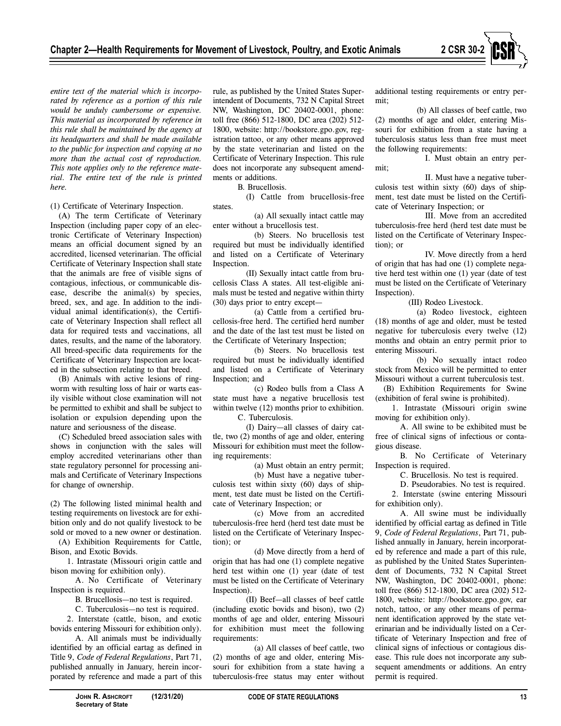

*entire text of the material which is incorporated by reference as a portion of this rule would be unduly cumbersome or expensive. This material as incorporated by reference in this rule shall be maintained by the agency at its headquarters and shall be made available to the public for inspection and copying at no more than the actual cost of reproduction. This note applies only to the reference material. The entire text of the rule is printed here.* 

(1) Certificate of Veterinary Inspection.

(A) The term Certificate of Veterinary Inspection (including paper copy of an electronic Certificate of Veterinary Inspection) means an official document signed by an accredited, licensed veterinarian. The official Certificate of Veterinary Inspection shall state that the animals are free of visible signs of contagious, infectious, or communicable disease, describe the animal(s) by species, breed, sex, and age. In addition to the individual animal identification(s), the Certificate of Veterinary Inspection shall reflect all data for required tests and vaccinations, all dates, results, and the name of the laboratory. All breed-specific data requirements for the Certificate of Veterinary Inspection are located in the subsection relating to that breed.

(B) Animals with active lesions of ringworm with resulting loss of hair or warts easily visible without close examination will not be permitted to exhibit and shall be subject to isolation or expulsion depending upon the nature and seriousness of the disease.

(C) Scheduled breed association sales with shows in conjunction with the sales will employ accredited veterinarians other than state regulatory personnel for processing animals and Certificate of Veterinary Inspections for change of ownership.

(2) The following listed minimal health and testing requirements on livestock are for exhibition only and do not qualify livestock to be sold or moved to a new owner or destination.

(A) Exhibition Requirements for Cattle, Bison, and Exotic Bovids.

1. Intrastate (Missouri origin cattle and bison moving for exhibition only).

A. No Certificate of Veterinary Inspection is required.

B. Brucellosis—no test is required.

C. Tuberculosis—no test is required. 2. Interstate (cattle, bison, and exotic bovids entering Missouri for exhibition only).

A. All animals must be individually identified by an official eartag as defined in Title 9, *Code of Federal Regulations*, Part 71, published annually in January, herein incorporated by reference and made a part of this

rule, as published by the United States Superintendent of Documents, 732 N Capital Street NW, Washington, DC 20402-0001, phone: toll free (866) 512-1800, DC area (202) 512- 1800, website: http://bookstore.gpo.gov, registration tattoo, or any other means approved by the state veterinarian and listed on the Certificate of Veterinary Inspection. This rule does not incorporate any subsequent amendments or additions.

B. Brucellosis.

(I) Cattle from brucellosis-free states.

(a) All sexually intact cattle may enter without a brucellosis test.

(b) Steers. No brucellosis test required but must be individually identified and listed on a Certificate of Veterinary Inspection.

(II) Sexually intact cattle from brucellosis Class A states. All test-eligible animals must be tested and negative within thirty (30) days prior to entry except—

(a) Cattle from a certified brucellosis-free herd. The certified herd number and the date of the last test must be listed on the Certificate of Veterinary Inspection;

(b) Steers. No brucellosis test required but must be individually identified and listed on a Certificate of Veterinary Inspection; and

(c) Rodeo bulls from a Class A state must have a negative brucellosis test within twelve (12) months prior to exhibition. C. Tuberculosis.

(I) Dairy—all classes of dairy cattle, two (2) months of age and older, entering Missouri for exhibition must meet the following requirements:

(a) Must obtain an entry permit;

(b) Must have a negative tuberculosis test within sixty (60) days of shipment, test date must be listed on the Certificate of Veterinary Inspection; or

(c) Move from an accredited tuberculosis-free herd (herd test date must be listed on the Certificate of Veterinary Inspection); or

(d) Move directly from a herd of origin that has had one (1) complete negative herd test within one (1) year (date of test must be listed on the Certificate of Veterinary Inspection).

(II) Beef—all classes of beef cattle (including exotic bovids and bison), two (2) months of age and older, entering Missouri for exhibition must meet the following requirements:

(a) All classes of beef cattle, two (2) months of age and older, entering Missouri for exhibition from a state having a tuberculosis-free status may enter without additional testing requirements or entry permit;

(b) All classes of beef cattle, two (2) months of age and older, entering Missouri for exhibition from a state having a tuberculosis status less than free must meet the following requirements:

I. Must obtain an entry per-

II. Must have a negative tuberculosis test within sixty (60) days of shipment, test date must be listed on the Certificate of Veterinary Inspection; or

mit;

III. Move from an accredited tuberculosis-free herd (herd test date must be listed on the Certificate of Veterinary Inspection); or

IV. Move directly from a herd of origin that has had one (1) complete negative herd test within one (1) year (date of test must be listed on the Certificate of Veterinary Inspection).

(III) Rodeo Livestock.

(a) Rodeo livestock, eighteen (18) months of age and older, must be tested negative for tuberculosis every twelve (12) months and obtain an entry permit prior to entering Missouri.

(b) No sexually intact rodeo stock from Mexico will be permitted to enter Missouri without a current tuberculosis test.

(B) Exhibition Requirements for Swine (exhibition of feral swine is prohibited).

1. Intrastate (Missouri origin swine moving for exhibition only).

A. All swine to be exhibited must be free of clinical signs of infectious or contagious disease.

B. No Certificate of Veterinary Inspection is required.

C. Brucellosis. No test is required.

D. Pseudorabies. No test is required.

2. Interstate (swine entering Missouri for exhibition only).

A. All swine must be individually identified by official eartag as defined in Title 9, *Code of Federal Regulations*, Part 71, published annually in January, herein incorporated by reference and made a part of this rule, as published by the United States Superintendent of Documents, 732 N Capital Street NW, Washington, DC 20402-0001, phone: toll free (866) 512-1800, DC area (202) 512- 1800, website: http://bookstore.gpo.gov, ear notch, tattoo, or any other means of permanent identification approved by the state veterinarian and be individually listed on a Certificate of Veterinary Inspection and free of clinical signs of infectious or contagious disease. This rule does not incorporate any subsequent amendments or additions. An entry permit is required.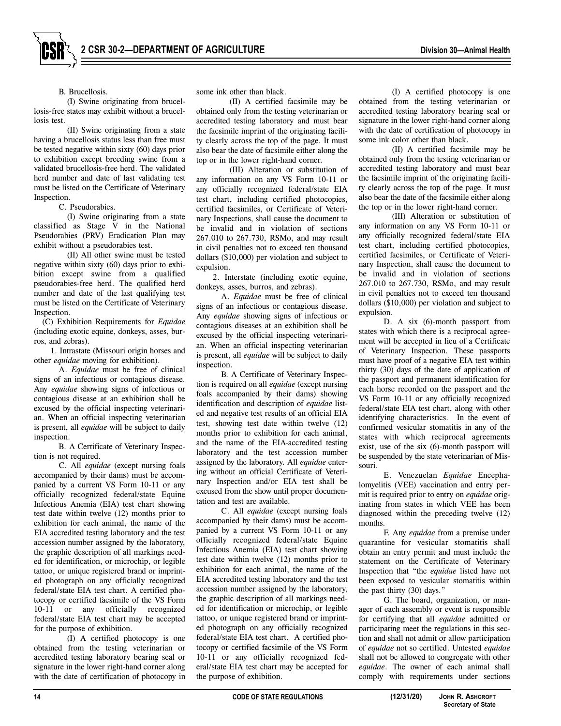# B. Brucellosis.

(I) Swine originating from brucellosis-free states may exhibit without a brucellosis test.

(II) Swine originating from a state having a brucellosis status less than free must be tested negative within sixty (60) days prior to exhibition except breeding swine from a validated brucellosis-free herd. The validated herd number and date of last validating test must be listed on the Certificate of Veterinary Inspection.

C. Pseudorabies.

(I) Swine originating from a state classified as Stage V in the National Pseudorabies (PRV) Eradication Plan may exhibit without a pseudorabies test.

(II) All other swine must be tested negative within sixty (60) days prior to exhibition except swine from a qualified pseudorabies-free herd. The qualified herd number and date of the last qualifying test must be listed on the Certificate of Veterinary Inspection.

(C) Exhibition Requirements for *Equidae*  (including exotic equine, donkeys, asses, burros, and zebras).

1. Intrastate (Missouri origin horses and other *equidae* moving for exhibition).

A. *Equidae* must be free of clinical signs of an infectious or contagious disease. Any *equidae* showing signs of infectious or contagious disease at an exhibition shall be excused by the official inspecting veterinarian. When an official inspecting veterinarian is present, all *equidae* will be subject to daily inspection.

B*.* A Certificate of Veterinary Inspection is not required.

C. All *equidae* (except nursing foals accompanied by their dams) must be accompanied by a current VS Form 10-11 or any officially recognized federal/state Equine Infectious Anemia (EIA) test chart showing test date within twelve (12) months prior to exhibition for each animal, the name of the EIA accredited testing laboratory and the test accession number assigned by the laboratory, the graphic description of all markings needed for identification, or microchip, or legible tattoo, or unique registered brand or imprinted photograph on any officially recognized federal/state EIA test chart. A certified photocopy or certified facsimile of the VS Form 10-11 or any officially recognized federal/state EIA test chart may be accepted for the purpose of exhibition.

(I) A certified photocopy is one obtained from the testing veterinarian or accredited testing laboratory bearing seal or signature in the lower right-hand corner along with the date of certification of photocopy in some ink other than black.

(II) A certified facsimile may be obtained only from the testing veterinarian or accredited testing laboratory and must bear the facsimile imprint of the originating facility clearly across the top of the page. It must also bear the date of facsimile either along the top or in the lower right-hand corner.

(III) Alteration or substitution of any information on any VS Form 10-11 or any officially recognized federal/state EIA test chart, including certified photocopies, certified facsimiles, or Certificate of Veterinary Inspections, shall cause the document to be invalid and in violation of sections 267.010 to 267.730, RSMo, and may result in civil penalties not to exceed ten thousand dollars (\$10,000) per violation and subject to expulsion.

2. Interstate (including exotic equine, donkeys, asses, burros, and zebras).

A. *Equidae* must be free of clinical signs of an infectious or contagious disease. Any *equidae* showing signs of infectious or contagious diseases at an exhibition shall be excused by the official inspecting veterinarian. When an official inspecting veterinarian is present, all *equidae* will be subject to daily inspection.

B. A Certificate of Veterinary Inspection is required on all *equidae* (except nursing foals accompanied by their dams) showing identification and description of *equidae* listed and negative test results of an official EIA test, showing test date within twelve (12) months prior to exhibition for each animal, and the name of the EIA-accredited testing laboratory and the test accession number assigned by the laboratory. All *equidae* entering without an official Certificate of Veterinary Inspection and/or EIA test shall be excused from the show until proper documentation and test are available.

C. All *equidae* (except nursing foals accompanied by their dams) must be accompanied by a current VS Form 10-11 or any officially recognized federal/state Equine Infectious Anemia (EIA) test chart showing test date within twelve (12) months prior to exhibition for each animal, the name of the EIA accredited testing laboratory and the test accession number assigned by the laboratory, the graphic description of all markings needed for identification or microchip, or legible tattoo, or unique registered brand or imprinted photograph on any officially recognized federal/state EIA test chart. A certified photocopy or certified facsimile of the VS Form 10-11 or any officially recognized federal/state EIA test chart may be accepted for the purpose of exhibition.

(I) A certified photocopy is one obtained from the testing veterinarian or accredited testing laboratory bearing seal or signature in the lower right-hand corner along with the date of certification of photocopy in some ink color other than black.

(II) A certified facsimile may be obtained only from the testing veterinarian or accredited testing laboratory and must bear the facsimile imprint of the originating facility clearly across the top of the page. It must also bear the date of the facsimile either along the top or in the lower right-hand corner.

(III) Alteration or substitution of any information on any VS Form 10-11 or any officially recognized federal/state EIA test chart, including certified photocopies, certified facsimiles, or Certificate of Veterinary Inspection, shall cause the document to be invalid and in violation of sections 267.010 to 267.730, RSMo, and may result in civil penalties not to exceed ten thousand dollars (\$10,000) per violation and subject to expulsion.

D. A six (6)-month passport from states with which there is a reciprocal agreement will be accepted in lieu of a Certificate of Veterinary Inspection. These passports must have proof of a negative EIA test within thirty (30) days of the date of application of the passport and permanent identification for each horse recorded on the passport and the VS Form 10-11 or any officially recognized federal/state EIA test chart, along with other identifying characteristics. In the event of confirmed vesicular stomatitis in any of the states with which reciprocal agreements exist, use of the six (6)-month passport will be suspended by the state veterinarian of Missouri.

E. Venezuelan *Equidae* Encephalomyelitis (VEE) vaccination and entry permit is required prior to entry on *equidae* originating from states in which VEE has been diagnosed within the preceding twelve (12) months.

F. Any *equidae* from a premise under quarantine for vesicular stomatitis shall obtain an entry permit and must include the statement on the Certificate of Veterinary Inspection that "the *equidae* listed have not been exposed to vesicular stomatitis within the past thirty (30) days."

G. The board, organization, or manager of each assembly or event is responsible for certifying that all *equidae* admitted or participating meet the regulations in this section and shall not admit or allow participation of *equidae* not so certified. Untested *equidae* shall not be allowed to congregate with other *equidae*. The owner of each animal shall comply with requirements under sections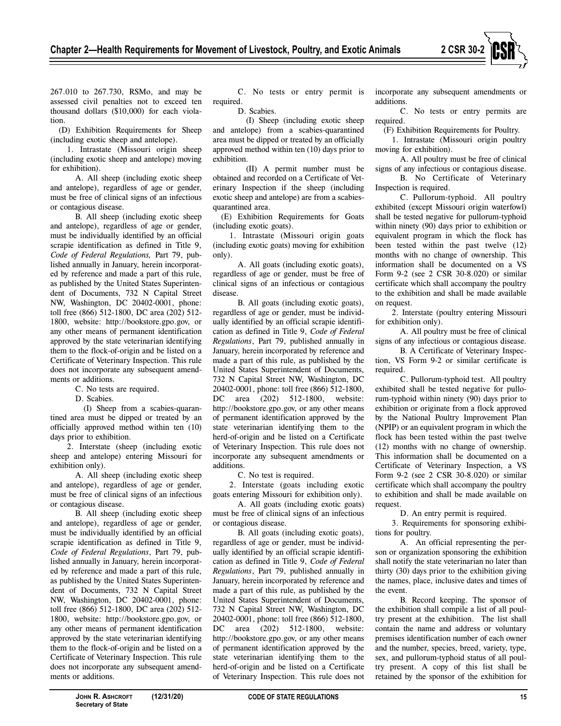

267.010 to 267.730, RSMo, and may be assessed civil penalties not to exceed ten thousand dollars (\$10,000) for each violation.

(D) Exhibition Requirements for Sheep (including exotic sheep and antelope).

1. Intrastate (Missouri origin sheep (including exotic sheep and antelope) moving for exhibition).

A. All sheep (including exotic sheep and antelope), regardless of age or gender, must be free of clinical signs of an infectious or contagious disease.

B. All sheep (including exotic sheep and antelope), regardless of age or gender, must be individually identified by an official scrapie identification as defined in Title 9, *Code of Federal Regulations,* Part 79, published annually in January, herein incorporated by reference and made a part of this rule, as published by the United States Superintendent of Documents, 732 N Capital Street NW, Washington, DC 20402-0001, phone: toll free (866) 512-1800, DC area (202) 512- 1800, website: http://bookstore.gpo.gov, or any other means of permanent identification approved by the state veterinarian identifying them to the flock-of-origin and be listed on a Certificate of Veterinary Inspection. This rule does not incorporate any subsequent amendments or additions.

- C. No tests are required.
	- D. Scabies.

(I) Sheep from a scabies-quarantined area must be dipped or treated by an officially approved method within ten (10) days prior to exhibition.

2. Interstate (sheep (including exotic sheep and antelope) entering Missouri for exhibition only).

A. All sheep (including exotic sheep and antelope), regardless of age or gender, must be free of clinical signs of an infectious or contagious disease.

B. All sheep (including exotic sheep and antelope), regardless of age or gender, must be individually identified by an official scrapie identification as defined in Title 9, *Code of Federal Regulations*, Part 79, published annually in January, herein incorporated by reference and made a part of this rule, as published by the United States Superintendent of Documents, 732 N Capital Street NW, Washington, DC 20402-0001, phone: toll free (866) 512-1800, DC area (202) 512- 1800, website: http://bookstore.gpo.gov, or any other means of permanent identification approved by the state veterinarian identifying them to the flock-of-origin and be listed on a Certificate of Veterinary Inspection. This rule does not incorporate any subsequent amendments or additions.

C. No tests or entry permit is required.

D. Scabies.

(I) Sheep (including exotic sheep and antelope) from a scabies-quarantined area must be dipped or treated by an officially approved method within ten (10) days prior to exhibition.

(II) A permit number must be obtained and recorded on a Certificate of Veterinary Inspection if the sheep (including exotic sheep and antelope) are from a scabiesquarantined area.

(E) Exhibition Requirements for Goats (including exotic goats).

1. Intrastate (Missouri origin goats (including exotic goats) moving for exhibition only).

A. All goats (including exotic goats), regardless of age or gender, must be free of clinical signs of an infectious or contagious disease.

B. All goats (including exotic goats), regardless of age or gender, must be individually identified by an official scrapie identification as defined in Title 9, *Code of Federal Regulations*, Part 79, published annually in January, herein incorporated by reference and made a part of this rule, as published by the United States Superintendent of Documents, 732 N Capital Street NW, Washington, DC 20402-0001, phone: toll free (866) 512-1800, DC area (202) 512-1800, website: http://bookstore.gpo.gov, or any other means of permanent identification approved by the state veterinarian identifying them to the herd-of-origin and be listed on a Certificate of Veterinary Inspection. This rule does not incorporate any subsequent amendments or additions.

C. No test is required.

2. Interstate (goats including exotic goats entering Missouri for exhibition only).

A. All goats (including exotic goats) must be free of clinical signs of an infectious or contagious disease.

B. All goats (including exotic goats), regardless of age or gender, must be individually identified by an official scrapie identification as defined in Title 9, *Code of Federal Regulations*, Part 79, published annually in January, herein incorporated by reference and made a part of this rule, as published by the United States Superintendent of Documents, 732 N Capital Street NW, Washington, DC 20402-0001, phone: toll free (866) 512-1800, DC area (202) 512-1800, website: http://bookstore.gpo.gov, or any other means of permanent identification approved by the state veterinarian identifying them to the herd-of-origin and be listed on a Certificate of Veterinary Inspection. This rule does not incorporate any subsequent amendments or additions.

C. No tests or entry permits are required.

(F) Exhibition Requirements for Poultry.

1. Intrastate (Missouri origin poultry moving for exhibition).

A. All poultry must be free of clinical signs of any infectious or contagious disease.

B. No Certificate of Veterinary Inspection is required.

C. Pullorum-typhoid. All poultry exhibited (except Missouri origin waterfowl) shall be tested negative for pullorum-typhoid within ninety (90) days prior to exhibition or equivalent program in which the flock has been tested within the past twelve (12) months with no change of ownership. This information shall be documented on a VS Form 9-2 (see 2 CSR 30-8.020) or similar certificate which shall accompany the poultry to the exhibition and shall be made available on request.

2. Interstate (poultry entering Missouri for exhibition only).

A. All poultry must be free of clinical signs of any infectious or contagious disease.

B. A Certificate of Veterinary Inspection, VS Form 9-2 or similar certificate is required.

C. Pullorum-typhoid test. All poultry exhibited shall be tested negative for pullorum-typhoid within ninety (90) days prior to exhibition or originate from a flock approved by the National Poultry Improvement Plan (NPIP) or an equivalent program in which the flock has been tested within the past twelve (12) months with no change of ownership. This information shall be documented on a Certificate of Veterinary Inspection, a VS Form 9-2 (see 2 CSR 30-8.020) or similar certificate which shall accompany the poultry to exhibition and shall be made available on request.

D. An entry permit is required.

3. Requirements for sponsoring exhibitions for poultry.

A. An official representing the person or organization sponsoring the exhibition shall notify the state veterinarian no later than thirty (30) days prior to the exhibition giving the names, place, inclusive dates and times of the event.

B. Record keeping. The sponsor of the exhibition shall compile a list of all poultry present at the exhibition. The list shall contain the name and address or voluntary premises identification number of each owner and the number, species, breed, variety, type, sex, and pullorum-typhoid status of all poultry present. A copy of this list shall be retained by the sponsor of the exhibition for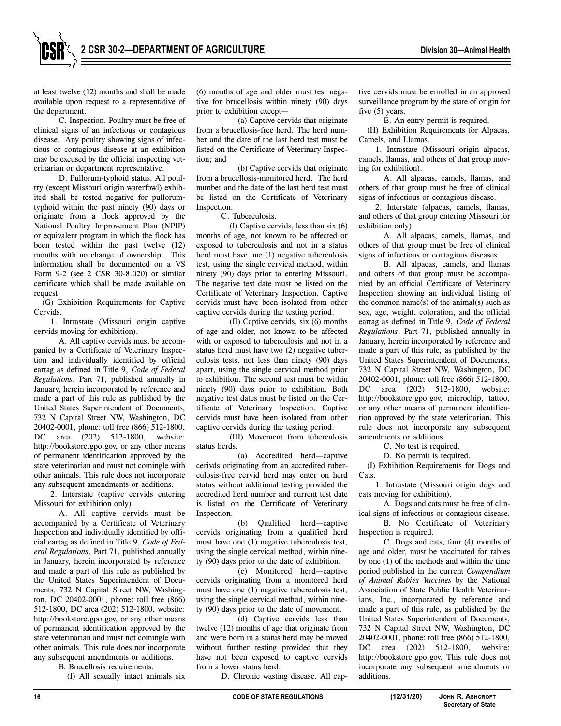at least twelve (12) months and shall be made available upon request to a representative of the department.

C. Inspection. Poultry must be free of clinical signs of an infectious or contagious disease. Any poultry showing signs of infectious or contagious disease at an exhibition may be excused by the official inspecting veterinarian or department representative.

D. Pullorum-typhoid status. All poultry (except Missouri origin waterfowl) exhibited shall be tested negative for pullorumtyphoid within the past ninety (90) days or originate from a flock approved by the National Poultry Improvement Plan (NPIP) or equivalent program in which the flock has been tested within the past twelve (12) months with no change of ownership. This information shall be documented on a VS Form 9-2 (see 2 CSR 30-8.020) or similar certificate which shall be made available on request.

(G) Exhibition Requirements for Captive Cervids.

1. Intrastate (Missouri origin captive cervids moving for exhibition).

A. All captive cervids must be accompanied by a Certificate of Veterinary Inspection and individually identified by official eartag as defined in Title 9, *Code of Federal Regulations*, Part 71, published annually in January, herein incorporated by reference and made a part of this rule as published by the United States Superintendent of Documents, 732 N Capital Street NW, Washington, DC 20402-0001, phone: toll free (866) 512-1800, DC area (202) 512-1800, website: http://bookstore.gpo.gov, or any other means of permanent identification approved by the state veterinarian and must not comingle with other animals. This rule does not incorporate any subsequent amendments or additions.

2. Interstate (captive cervids entering Missouri for exhibition only).

A. All captive cervids must be accompanied by a Certificate of Veterinary Inspection and individually identified by official eartag as defined in Title 9, *Code of Federal Regulations*, Part 71, published annually in January, herein incorporated by reference and made a part of this rule as published by the United States Superintendent of Documents, 732 N Capital Street NW, Washington, DC 20402-0001, phone: toll free (866) 512-1800, DC area (202) 512-1800, website: http://bookstore.gpo.gov, or any other means of permanent identification approved by the state veterinarian and must not comingle with other animals. This rule does not incorporate any subsequent amendments or additions.

B. Brucellosis requirements.

(I) All sexually intact animals six

(6) months of age and older must test negative for brucellosis within ninety (90) days prior to exhibition except—

(a) Captive cervids that originate from a brucellosis-free herd. The herd number and the date of the last herd test must be listed on the Certificate of Veterinary Inspection; and

(b) Captive cervids that originate from a brucellosis-monitored herd. The herd number and the date of the last herd test must be listed on the Certificate of Veterinary Inspection.

C. Tuberculosis.

(I) Captive cervids, less than six (6) months of age, not known to be affected or exposed to tuberculosis and not in a status herd must have one (1) negative tuberculosis test, using the single cervical method, within ninety (90) days prior to entering Missouri. The negative test date must be listed on the Certificate of Veterinary Inspection. Captive cervids must have been isolated from other captive cervids during the testing period.

(II) Captive cervids, six (6) months of age and older, not known to be affected with or exposed to tuberculosis and not in a status herd must have two (2) negative tuberculosis tests, not less than ninety (90) days apart, using the single cervical method prior to exhibition. The second test must be within ninety (90) days prior to exhibition. Both negative test dates must be listed on the Certificate of Veterinary Inspection. Captive cervids must have been isolated from other captive cervids during the testing period.

(III) Movement from tuberculosis status herds.

(a) Accredited herd—captive cerivds originating from an accredited tuberculosis-free cervid herd may enter on herd status without additional testing provided the accredited herd number and current test date is listed on the Certificate of Veterinary Inspection.

(b) Qualified herd—captive cervids originating from a qualified herd must have one (1) negative tuberculosis test, using the single cervical method, within ninety (90) days prior to the date of exhibition.

(c) Monitored herd—captive cervids originating from a monitored herd must have one (1) negative tuberculosis test, using the single cervical method, within ninety (90) days prior to the date of movement.

(d) Captive cervids less than twelve (12) months of age that originate from and were born in a status herd may be moved without further testing provided that they have not been exposed to captive cervids from a lower status herd.

D. Chronic wasting disease. All cap-

tive cervids must be enrolled in an approved surveillance program by the state of origin for five (5) years.

E. An entry permit is required.

(H) Exhibition Requirements for Alpacas, Camels, and Llamas*.*

1. Intrastate (Missouri origin alpacas, camels, llamas, and others of that group moving for exhibition).

A. All alpacas, camels, llamas, and others of that group must be free of clinical signs of infectious or contagious disease.

2. Interstate (alpacas, camels, llamas, and others of that group entering Missouri for exhibition only).

A. All alpacas, camels, llamas, and others of that group must be free of clinical signs of infectious or contagious diseases.

B*.* All alpacas, camels, and llamas and others of that group must be accompanied by an official Certificate of Veterinary Inspection showing an individual listing of the common name(s) of the animal(s) such as sex, age, weight, coloration, and the official eartag as defined in Title 9, *Code of Federal Regulations*, Part 71, published annually in January, herein incorporated by reference and made a part of this rule, as published by the United States Superintendent of Documents, 732 N Capital Street NW, Washington, DC 20402-0001, phone: toll free (866) 512-1800, DC area (202) 512-1800, website: http://bookstore.gpo.gov, microchip, tattoo, or any other means of permanent identification approved by the state veterinarian. This rule does not incorporate any subsequent amendments or additions.

C. No test is required.

D*.* No permit is required.

(I) Exhibition Requirements for Dogs and Cats.

1. Intrastate (Missouri origin dogs and cats moving for exhibition).

A. Dogs and cats must be free of clinical signs of infectious or contagious disease.

B. No Certificate of Veterinary Inspection is required.

C. Dogs and cats, four (4) months of age and older, must be vaccinated for rabies by one (1) of the methods and within the time period published in the current *Compendium of Animal Rabies Vaccines* by the National Association of State Public Health Veterinarians, Inc., incorporated by reference and made a part of this rule, as published by the United States Superintendent of Documents, 732 N Capital Street NW, Washington, DC 20402-0001, phone: toll free (866) 512-1800, DC area (202) 512-1800, website: http://bookstore.gpo.gov. This rule does not incorporate any subsequent amendments or additions.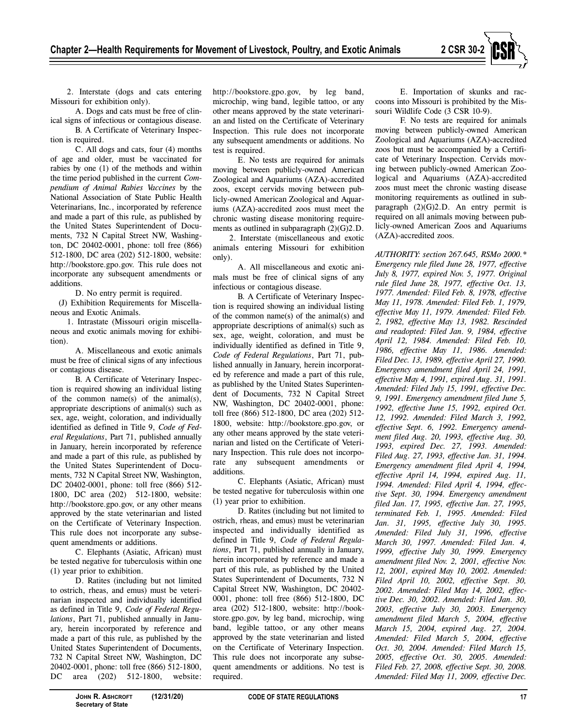

2. Interstate (dogs and cats entering Missouri for exhibition only).

A. Dogs and cats must be free of clinical signs of infectious or contagious disease. B. A Certificate of Veterinary Inspec-

tion is required.

C. All dogs and cats, four (4) months of age and older, must be vaccinated for rabies by one (1) of the methods and within the time period published in the current *Compendium of Animal Rabies Vaccines* by the National Association of State Public Health Veterinarians, Inc., incorporated by reference and made a part of this rule, as published by the United States Superintendent of Documents, 732 N Capital Street NW, Washington, DC 20402-0001, phone: toll free (866) 512-1800, DC area (202) 512-1800, website: http://bookstore.gpo.gov. This rule does not incorporate any subsequent amendments or additions.

D. No entry permit is required.

(J) Exhibition Requirements for Miscellaneous and Exotic Animals.

1. Intrastate (Missouri origin miscellaneous and exotic animals moving for exhibition).

A. Miscellaneous and exotic animals must be free of clinical signs of any infectious or contagious disease.

B. A Certificate of Veterinary Inspection is required showing an individual listing of the common name(s) of the animal(s), appropriate descriptions of animal(s) such as sex, age, weight, coloration, and individually identified as defined in Title 9, *Code of Federal Regulations*, Part 71, published annually in January, herein incorporated by reference and made a part of this rule, as published by the United States Superintendent of Documents, 732 N Capital Street NW, Washington, DC 20402-0001, phone: toll free (866) 512- 1800, DC area (202) 512-1800, website: http://bookstore.gpo.gov, or any other means approved by the state veterinarian and listed on the Certificate of Veterinary Inspection. This rule does not incorporate any subsequent amendments or additions.

C. Elephants (Asiatic, African) must be tested negative for tuberculosis within one (1) year prior to exhibition.

D. Ratites (including but not limited to ostrich, rheas, and emus) must be veterinarian inspected and individually identified as defined in Title 9, *Code of Federal Regulations*, Part 71, published annually in January, herein incorporated by reference and made a part of this rule, as published by the United States Superintendent of Documents, 732 N Capital Street NW, Washington, DC 20402-0001, phone: toll free (866) 512-1800, DC area (202) 512-1800, website:

http://bookstore.gpo.gov, by leg band, microchip, wing band, legible tattoo, or any other means approved by the state veterinarian and listed on the Certificate of Veterinary Inspection. This rule does not incorporate any subsequent amendments or additions. No test is required.

E. No tests are required for animals moving between publicly-owned American Zoological and Aquariums (AZA)-accredited zoos, except cervids moving between publicly-owned American Zoological and Aquariums (AZA)-accredited zoos must meet the chronic wasting disease monitoring requirements as outlined in subparagraph (2)(G)2.D.

2. Interstate (miscellaneous and exotic animals entering Missouri for exhibition only).

A. All miscellaneous and exotic animals must be free of clinical signs of any infectious or contagious disease.

B. A Certificate of Veterinary Inspection is required showing an individual listing of the common name(s) of the animal(s) and appropriate descriptions of animal(s) such as sex, age, weight, coloration, and must be individually identified as defined in Title 9, *Code of Federal Regulations*, Part 71, published annually in January, herein incorporated by reference and made a part of this rule, as published by the United States Superintendent of Documents, 732 N Capital Street NW, Washington, DC 20402-0001, phone: toll free (866) 512-1800, DC area (202) 512- 1800, website: http://bookstore.gpo.gov, or any other means approved by the state veterinarian and listed on the Certificate of Veterinary Inspection. This rule does not incorporate any subsequent amendments or additions.

C. Elephants (Asiatic, African) must be tested negative for tuberculosis within one (1) year prior to exhibition.

D. Ratites (including but not limited to ostrich, rheas, and emus) must be veterinarian inspected and individually identified as defined in Title 9, *Code of Federal Regulations*, Part 71, published annually in January, herein incorporated by reference and made a part of this rule, as published by the United States Superintendent of Documents, 732 N Capital Street NW, Washington, DC 20402- 0001, phone: toll free (866) 512-1800, DC area (202) 512-1800, website: http://bookstore.gpo.gov, by leg band, microchip, wing band, legible tattoo, or any other means approved by the state veterinarian and listed on the Certificate of Veterinary Inspection. This rule does not incorporate any subsequent amendments or additions. No test is required.

E. Importation of skunks and raccoons into Missouri is prohibited by the Missouri Wildlife Code (3 CSR 10-9).

F. No tests are required for animals moving between publicly-owned American Zoological and Aquariums (AZA)-accredited zoos but must be accompanied by a Certificate of Veterinary Inspection. Cervids moving between publicly-owned American Zoological and Aquariums (AZA)-accredited zoos must meet the chronic wasting disease monitoring requirements as outlined in subparagraph (2)(G)2.D. An entry permit is required on all animals moving between publicly-owned American Zoos and Aquariums (AZA)-accredited zoos.

*AUTHORITY: section 267.645, RSMo 2000.\* Emergency rule filed June 28, 1977, effective July 8, 1977, expired Nov. 5, 1977. Original rule filed June 28, 1977, effective Oct. 13, 1977. Amended: Filed Feb. 8, 1978, effective May 11, 1978. Amended: Filed Feb. 1, 1979, effective May 11, 1979. Amended: Filed Feb. 2, 1982, effective May 13, 1982. Rescinded and readopted: Filed Jan. 9, 1984, effective April 12, 1984. Amended: Filed Feb. 10, 1986, effective May 11, 1986. Amended: Filed Dec. 13, 1989, effective April 27, 1990. Emergency amendment filed April 24, 1991, effective May 4, 1991, expired Aug. 31, 1991. Amended: Filed July 15, 1991, effective Dec. 9, 1991. Emergency amendment filed June 5, 1992, effective June 15, 1992, expired Oct. 12, 1992. Amended: Filed March 3, 1992, effective Sept. 6, 1992. Emergency amendment filed Aug. 20, 1993, effective Aug. 30, 1993, expired Dec. 27, 1993. Amended: Filed Aug. 27, 1993, effective Jan. 31, 1994. Emergency amendment filed April 4, 1994, effective April 14, 1994, expired Aug. 11, 1994. Amended: Filed April 4, 1994, effective Sept. 30, 1994. Emergency amendment filed Jan. 17, 1995, effective Jan. 27, 1995, terminated Feb. 1, 1995. Amended: Filed Jan. 31, 1995, effective July 30, 1995. Amended: Filed July 31, 1996, effective March 30, 1997. Amended: Filed Jan. 4, 1999, effective July 30, 1999. Emergency amendment filed Nov. 2, 2001, effective Nov. 12, 2001, expired May 10, 2002. Amended: Filed April 10, 2002, effective Sept. 30, 2002. Amended: Filed May 14, 2002, effective Dec. 30, 2002. Amended: Filed Jan. 30, 2003, effective July 30, 2003. Emergency amendment filed March 5, 2004, effective March 15, 2004, expired Aug. 27, 2004. Amended: Filed March 5, 2004, effective Oct. 30, 2004. Amended: Filed March 15, 2005, effective Oct. 30, 2005. Amended: Filed Feb. 27, 2008, effective Sept. 30, 2008. Amended: Filed May 11, 2009, effective Dec.*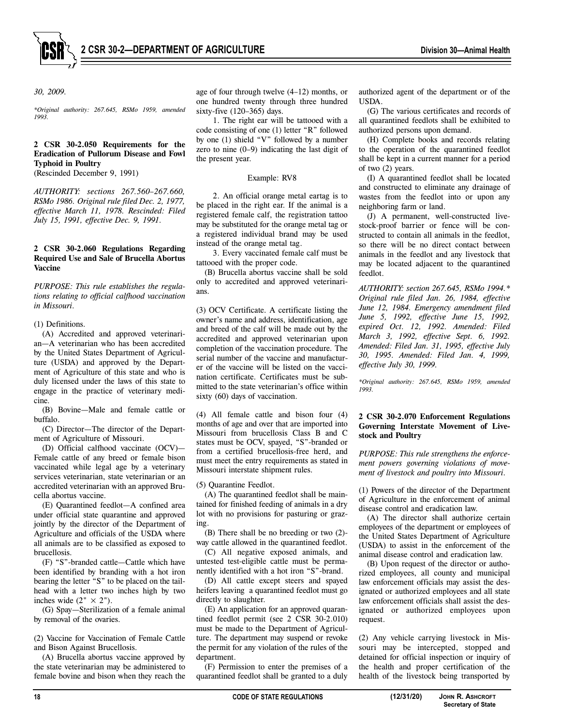

*30, 2009.* 

*\*Original authority: 267.645, RSMo 1959, amended 1993.* 

# **2 CSR 30-2.050 Requirements for the Eradication of Pullorum Disease and Fowl Typhoid in Poultry**

(Rescinded December 9, 1991)

*AUTHORITY: sections 267.560–267.660, RSMo 1986. Original rule filed Dec. 2, 1977, effective March 11, 1978. Rescinded: Filed July 15, 1991, effective Dec. 9, 1991.* 

# **2 CSR 30-2.060 Regulations Regarding Required Use and Sale of Brucella Abortus Vaccine**

*PURPOSE: This rule establishes the regulations relating to official calfhood vaccination in Missouri.* 

(1) Definitions.

(A) Accredited and approved veterinarian—A veterinarian who has been accredited by the United States Department of Agriculture (USDA) and approved by the Department of Agriculture of this state and who is duly licensed under the laws of this state to engage in the practice of veterinary medicine.

(B) Bovine—Male and female cattle or buffalo.

(C) Director—The director of the Department of Agriculture of Missouri.

(D) Official calfhood vaccinate (OCV)— Female cattle of any breed or female bison vaccinated while legal age by a veterinary services veterinarian, state veterinarian or an accredited veterinarian with an approved Brucella abortus vaccine.

(E) Quarantined feedlot—A confined area under official state quarantine and approved jointly by the director of the Department of Agriculture and officials of the USDA where all animals are to be classified as exposed to brucellosis.

(F) "S"-branded cattle—Cattle which have been identified by branding with a hot iron bearing the letter "S" to be placed on the tailhead with a letter two inches high by two inches wide  $(2" \times 2")$ .

(G) Spay—Sterilization of a female animal by removal of the ovaries.

(2) Vaccine for Vaccination of Female Cattle and Bison Against Brucellosis.

(A) Brucella abortus vaccine approved by the state veterinarian may be administered to female bovine and bison when they reach the age of four through twelve (4–12) months, or one hundred twenty through three hundred sixty-five (120–365) days.

1. The right ear will be tattooed with a code consisting of one (1) letter "R" followed by one (1) shield "V" followed by a number zero to nine (0–9) indicating the last digit of the present year.

#### Example: RV8

2. An official orange metal eartag is to be placed in the right ear. If the animal is a registered female calf, the registration tattoo may be substituted for the orange metal tag or a registered individual brand may be used instead of the orange metal tag.

3. Every vaccinated female calf must be tattooed with the proper code.

(B) Brucella abortus vaccine shall be sold only to accredited and approved veterinarians.

(3) OCV Certificate. A certificate listing the owner's name and address, identification, age and breed of the calf will be made out by the accredited and approved veterinarian upon completion of the vaccination procedure. The serial number of the vaccine and manufacturer of the vaccine will be listed on the vaccination certificate. Certificates must be submitted to the state veterinarian's office within sixty (60) days of vaccination.

(4) All female cattle and bison four (4) months of age and over that are imported into Missouri from brucellosis Class B and C states must be OCV, spayed, "S"-branded or from a certified brucellosis-free herd, and must meet the entry requirements as stated in Missouri interstate shipment rules.

(5) Quarantine Feedlot.

(A) The quarantined feedlot shall be maintained for finished feeding of animals in a dry lot with no provisions for pasturing or grazing.

(B) There shall be no breeding or two (2) way cattle allowed in the quarantined feedlot.

(C) All negative exposed animals, and untested test-eligible cattle must be permanently identified with a hot iron "S"-brand.

(D) All cattle except steers and spayed heifers leaving a quarantined feedlot must go directly to slaughter.

(E) An application for an approved quarantined feedlot permit (see 2 CSR 30-2.010) must be made to the Department of Agriculture. The department may suspend or revoke the permit for any violation of the rules of the department.

(F) Permission to enter the premises of a quarantined feedlot shall be granted to a duly authorized agent of the department or of the USDA.

(G) The various certificates and records of all quarantined feedlots shall be exhibited to authorized persons upon demand.

(H) Complete books and records relating to the operation of the quarantined feedlot shall be kept in a current manner for a period of two (2) years.

(I) A quarantined feedlot shall be located and constructed to eliminate any drainage of wastes from the feedlot into or upon any neighboring farm or land.

(J) A permanent, well-constructed livestock-proof barrier or fence will be constructed to contain all animals in the feedlot, so there will be no direct contact between animals in the feedlot and any livestock that may be located adjacent to the quarantined feedlot.

*AUTHORITY: section 267.645, RSMo 1994.\* Original rule filed Jan. 26, 1984, effective June 12, 1984. Emergency amendment filed June 5, 1992, effective June 15, 1992, expired Oct. 12, 1992. Amended: Filed March 3, 1992, effective Sept. 6, 1992. Amended: Filed Jan. 31, 1995, effective July 30, 1995. Amended: Filed Jan. 4, 1999, effective July 30, 1999.* 

*\*Original authority: 267.645, RSMo 1959, amended 1993.* 

# **2 CSR 30-2.070 Enforcement Regulations Governing Interstate Movement of Livestock and Poultry**

*PURPOSE: This rule strengthens the enforcement powers governing violations of movement of livestock and poultry into Missouri.* 

(1) Powers of the director of the Department of Agriculture in the enforcement of animal disease control and eradication law.

(A) The director shall authorize certain employees of the department or employees of the United States Department of Agriculture (USDA) to assist in the enforcement of the animal disease control and eradication law.

(B) Upon request of the director or authorized employees, all county and municipal law enforcement officials may assist the designated or authorized employees and all state law enforcement officials shall assist the designated or authorized employees upon request.

(2) Any vehicle carrying livestock in Missouri may be intercepted, stopped and detained for official inspection or inquiry of the health and proper certification of the health of the livestock being transported by